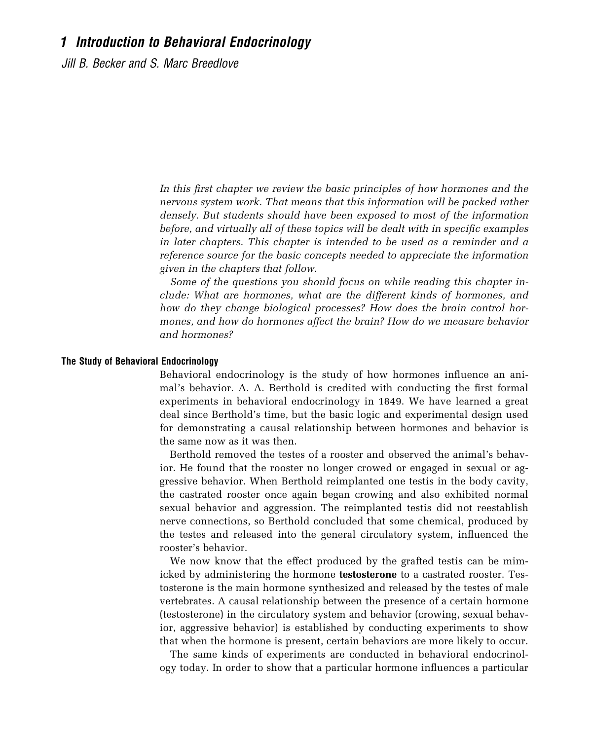# 1 Introduction to Behavioral Endocrinology

Jill B. Becker and S. Marc Breedlove

In this first chapter we review the basic principles of how hormones and the nervous system work. That means that this information will be packed rather densely. But students should have been exposed to most of the information [before, and virtually all of these topics will be dealt with in specific examples](#page--1-0) in later chapters. This chapter is intended to be used as a reminder and a reference source for the basic concepts needed to appreciate the information given in the chapters that follow.

Some of the questions you should focus on while reading this chapter include: What are hormones, what are the different kinds of hormones, and how do they change biological processes? How does the brain control hormones, and how do hormones affect the brain? How do we measure behavior and hormones?

# The Study of Behavioral Endocrinology

Behavioral endocrinology is the study of how hormones influence an animal's behavior. A. A. Berthold is credited with conducting the first formal experiments in behavioral endocrinology in 1849. We have learned a great deal since Berthold's time, but the basic logic and experimental design used for demonstrating a causal relationship between hormones and behavior is the same now as it was then.

Berthold removed the testes of a rooster and observed the animal's behavior. He found that the rooster no longer crowed or engaged in sexual or aggressive behavior. When Berthold reimplanted one testis in the body cavity, the castrated rooster once again began crowing and also exhibited normal sexual behavior and aggression. The reimplanted testis did not reestablish nerve connections, so Berthold concluded that some chemical, produced by the testes and released into the general circulatory system, influenced the rooster's behavior.

We now know that the effect produced by the grafted testis can be mimicked by administering the hormone testosterone to a castrated rooster. Testosterone is the main hormone synthesized and released by the testes of male vertebrates. A causal relationship between the presence of a certain hormone (testosterone) in the circulatory system and behavior (crowing, sexual behavior, aggressive behavior) is established by conducting experiments to show that when the hormone is present, certain behaviors are more likely to occur.

The same kinds of experiments are conducted in behavioral endocrinology today. In order to show that a particular hormone influences a particular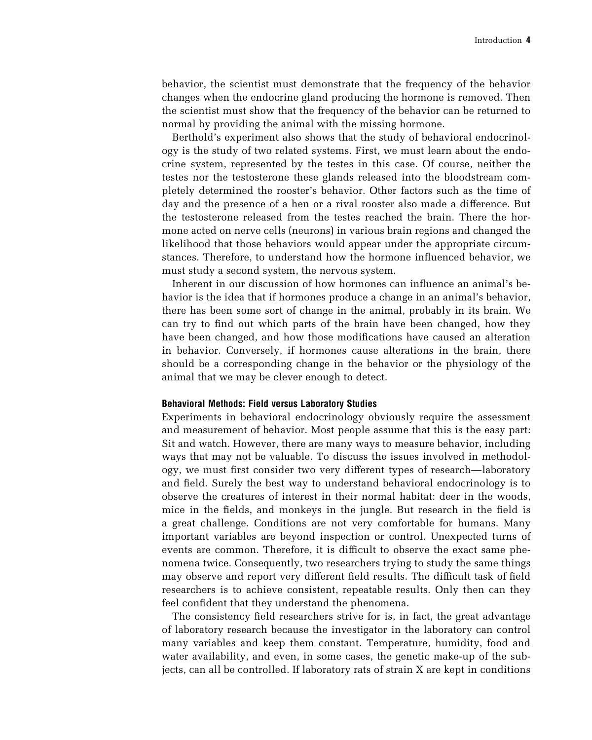behavior, the scientist must demonstrate that the frequency of the behavior changes when the endocrine gland producing the hormone is removed. Then the scientist must show that the frequency of the behavior can be returned to normal by providing the animal with the missing hormone.

Berthold's experiment also shows that the study of behavioral endocrinology is the study of two related systems. First, we must learn about the endocrine system, represented by the testes in this case. Of course, neither the testes nor the testosterone these glands released into the bloodstream completely determined the rooster's behavior. Other factors such as the time of day and the presence of a hen or a rival rooster also made a difference. But the testosterone released from the testes reached the brain. There the hormone acted on nerve cells (neurons) in various brain regions and changed the likelihood that those behaviors would appear under the appropriate circumstances. Therefore, to understand how the hormone influenced behavior, we must study a second system, the nervous system.

Inherent in our discussion of how hormones can influence an animal's behavior is the idea that if hormones produce a change in an animal's behavior, there has been some sort of change in the animal, probably in its brain. We can try to find out which parts of the brain have been changed, how they have been changed, and how those modifications have caused an alteration in behavior. Conversely, if hormones cause alterations in the brain, there should be a corresponding change in the behavior or the physiology of the animal that we may be clever enough to detect.

# Behavioral Methods: Field versus Laboratory Studies

Experiments in behavioral endocrinology obviously require the assessment and measurement of behavior. Most people assume that this is the easy part: Sit and watch. However, there are many ways to measure behavior, including ways that may not be valuable. To discuss the issues involved in methodology, we must first consider two very different types of research—laboratory and field. Surely the best way to understand behavioral endocrinology is to observe the creatures of interest in their normal habitat: deer in the woods, mice in the fields, and monkeys in the jungle. But research in the field is a great challenge. Conditions are not very comfortable for humans. Many important variables are beyond inspection or control. Unexpected turns of events are common. Therefore, it is difficult to observe the exact same phenomena twice. Consequently, two researchers trying to study the same things may observe and report very different field results. The difficult task of field researchers is to achieve consistent, repeatable results. Only then can they feel confident that they understand the phenomena.

The consistency field researchers strive for is, in fact, the great advantage of laboratory research because the investigator in the laboratory can control many variables and keep them constant. Temperature, humidity, food and water availability, and even, in some cases, the genetic make-up of the subjects, can all be controlled. If laboratory rats of strain X are kept in conditions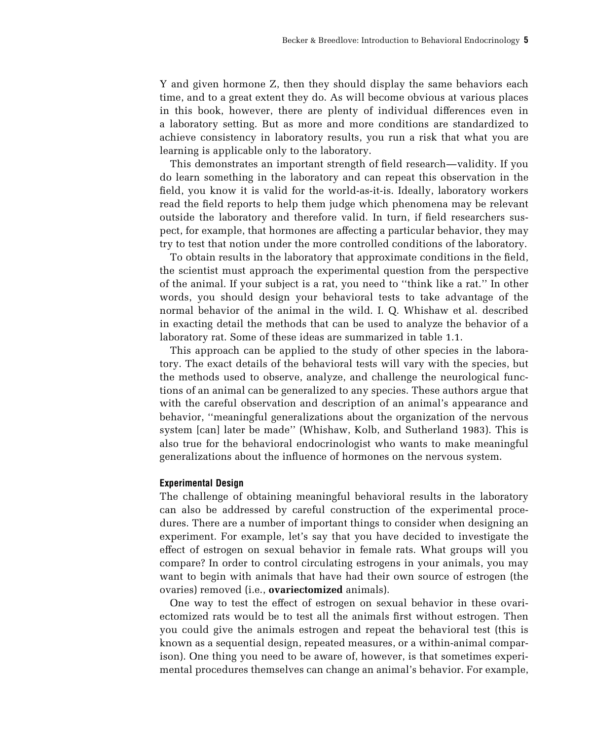Y and given hormone Z, then they should display the same behaviors each time, and to a great extent they do. As will become obvious at various places in this book, however, there are plenty of individual differences even in a laboratory setting. But as more and more conditions are standardized to achieve consistency in laboratory results, you run a risk that what you are learning is applicable only to the laboratory.

This demonstrates an important strength of field research—validity. If you do learn something in the laboratory and can repeat this observation in the field, you know it is valid for the world-as-it-is. Ideally, laboratory workers read the field reports to help them judge which phenomena may be relevant outside the laboratory and therefore valid. In turn, if field researchers suspect, for example, that hormones are affecting a particular behavior, they may try to test that notion under the more controlled conditions of the laboratory.

To obtain results in the laboratory that approximate conditions in the field, the scientist must approach the experimental question from the perspective of the animal. If your subject is a rat, you need to ''think like a rat.'' In other words, you should design your behavioral tests to take advantage of the normal behavior of the animal in the wild. I. Q. Whishaw et al. described in exacting detail the methods that can be used to analyze the behavior of a laboratory rat. Some of these ideas are summarized in table 1.1.

This approach can be applied to the study of other species in the laboratory. The exact details of the behavioral tests will vary with the species, but the methods used to observe, analyze, and challenge the neurological functions of an animal can be generalized to any species. These authors argue that with the careful observation and description of an animal's appearance and behavior, ''meaningful generalizations about the organization of the nervous system [can] later be made'' (Whishaw, Kolb, and Sutherland 1983). This is also true for the behavioral endocrinologist who wants to make meaningful generalizations about the influence of hormones on the nervous system.

# Experimental Design

The challenge of obtaining meaningful behavioral results in the laboratory can also be addressed by careful construction of the experimental procedures. There are a number of important things to consider when designing an experiment. For example, let's say that you have decided to investigate the effect of estrogen on sexual behavior in female rats. What groups will you compare? In order to control circulating estrogens in your animals, you may want to begin with animals that have had their own source of estrogen (the ovaries) removed (i.e., ovariectomized animals).

One way to test the effect of estrogen on sexual behavior in these ovariectomized rats would be to test all the animals first without estrogen. Then you could give the animals estrogen and repeat the behavioral test (this is known as a sequential design, repeated measures, or a within-animal comparison). One thing you need to be aware of, however, is that sometimes experimental procedures themselves can change an animal's behavior. For example,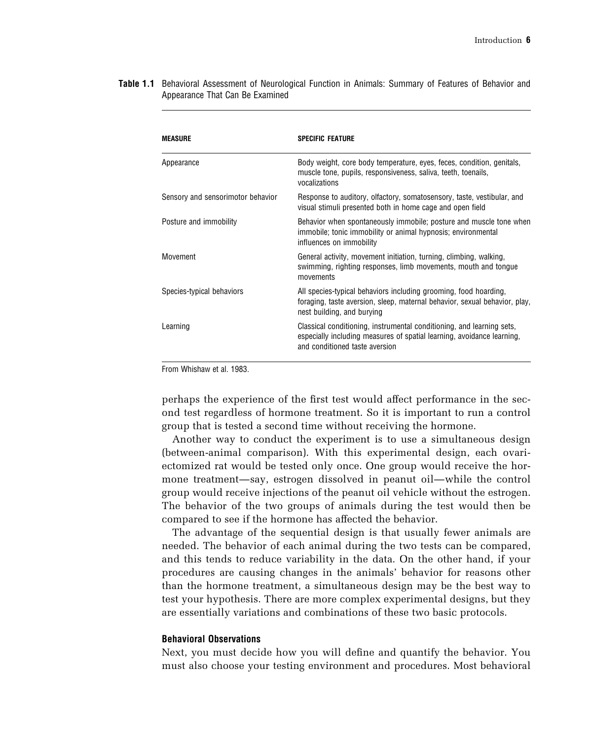| MFASURF                           | <b>SPECIFIC FEATURE</b>                                                                                                                                                           |
|-----------------------------------|-----------------------------------------------------------------------------------------------------------------------------------------------------------------------------------|
| Appearance                        | Body weight, core body temperature, eyes, feces, condition, genitals,<br>muscle tone, pupils, responsiveness, saliva, teeth, toenails,<br>vocalizations                           |
| Sensory and sensorimotor behavior | Response to auditory, olfactory, somatosensory, taste, vestibular, and<br>visual stimuli presented both in home cage and open field                                               |
| Posture and immobility            | Behavior when spontaneously immobile; posture and muscle tone when<br>immobile; tonic immobility or animal hypnosis; environmental<br>influences on immobility                    |
| Movement                          | General activity, movement initiation, turning, climbing, walking,<br>swimming, righting responses, limb movements, mouth and tongue<br>movements                                 |
| Species-typical behaviors         | All species-typical behaviors including grooming, food hoarding,<br>foraging, taste aversion, sleep, maternal behavior, sexual behavior, play,<br>nest building, and burying      |
| Learning                          | Classical conditioning, instrumental conditioning, and learning sets,<br>especially including measures of spatial learning, avoidance learning,<br>and conditioned taste aversion |

Table 1.1 Behavioral Assessment of Neurological Function in Animals: Summary of Features of Behavior and Appearance That Can Be Examined

From Whishaw et al. 1983.

perhaps the experience of the first test would affect performance in the second test regardless of hormone treatment. So it is important to run a control group that is tested a second time without receiving the hormone.

Another way to conduct the experiment is to use a simultaneous design (between-animal comparison). With this experimental design, each ovariectomized rat would be tested only once. One group would receive the hormone treatment—say, estrogen dissolved in peanut oil—while the control group would receive injections of the peanut oil vehicle without the estrogen. The behavior of the two groups of animals during the test would then be compared to see if the hormone has affected the behavior.

The advantage of the sequential design is that usually fewer animals are needed. The behavior of each animal during the two tests can be compared, and this tends to reduce variability in the data. On the other hand, if your procedures are causing changes in the animals' behavior for reasons other than the hormone treatment, a simultaneous design may be the best way to test your hypothesis. There are more complex experimental designs, but they are essentially variations and combinations of these two basic protocols.

#### Behavioral Observations

Next, you must decide how you will define and quantify the behavior. You must also choose your testing environment and procedures. Most behavioral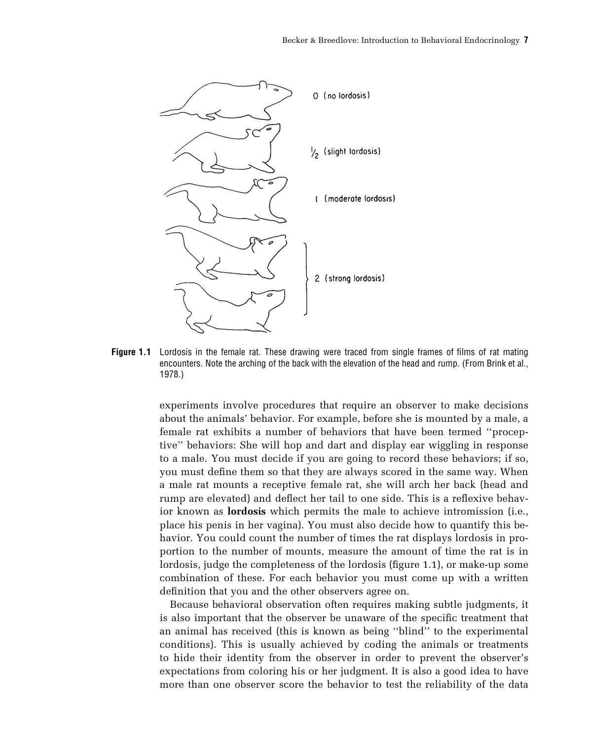

**Figure 1.1** Lordosis in the female rat. These drawing were traced from single frames of films of rat mating encounters. Note the arching of the back with the elevation of the head and rump. (From Brink et al., 1978.)

experiments involve procedures that require an observer to make decisions about the animals' behavior. For example, before she is mounted by a male, a female rat exhibits a number of behaviors that have been termed ''proceptive'' behaviors: She will hop and dart and display ear wiggling in response to a male. You must decide if you are going to record these behaviors; if so, you must define them so that they are always scored in the same way. When a male rat mounts a receptive female rat, she will arch her back (head and rump are elevated) and deflect her tail to one side. This is a reflexive behavior known as **lordosis** which permits the male to achieve intromission (i.e., place his penis in her vagina). You must also decide how to quantify this behavior. You could count the number of times the rat displays lordosis in proportion to the number of mounts, measure the amount of time the rat is in lordosis, judge the completeness of the lordosis (figure 1.1), or make-up some combination of these. For each behavior you must come up with a written definition that you and the other observers agree on.

Because behavioral observation often requires making subtle judgments, it is also important that the observer be unaware of the specific treatment that an animal has received (this is known as being ''blind'' to the experimental conditions). This is usually achieved by coding the animals or treatments to hide their identity from the observer in order to prevent the observer's expectations from coloring his or her judgment. It is also a good idea to have more than one observer score the behavior to test the reliability of the data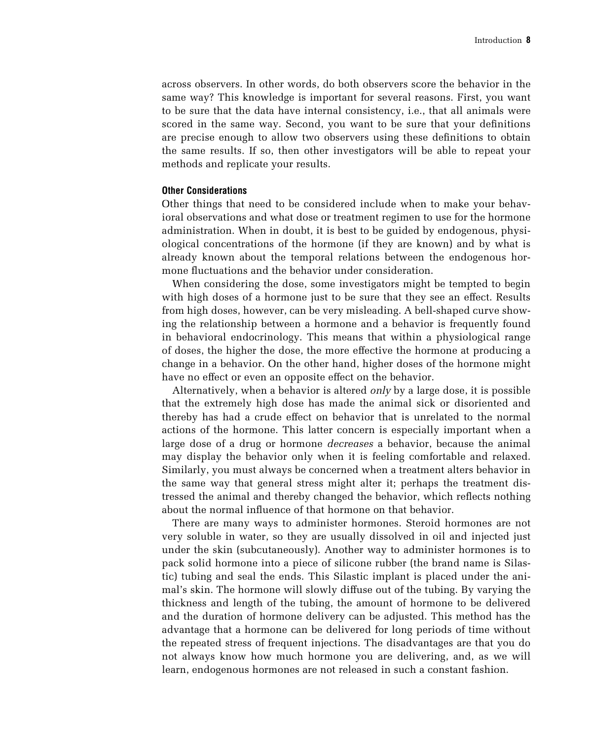across observers. In other words, do both observers score the behavior in the same way? This knowledge is important for several reasons. First, you want to be sure that the data have internal consistency, i.e., that all animals were scored in the same way. Second, you want to be sure that your definitions are precise enough to allow two observers using these definitions to obtain the same results. If so, then other investigators will be able to repeat your methods and replicate your results.

# Other Considerations

Other things that need to be considered include when to make your behavioral observations and what dose or treatment regimen to use for the hormone administration. When in doubt, it is best to be guided by endogenous, physiological concentrations of the hormone (if they are known) and by what is already known about the temporal relations between the endogenous hormone fluctuations and the behavior under consideration.

When considering the dose, some investigators might be tempted to begin with high doses of a hormone just to be sure that they see an effect. Results from high doses, however, can be very misleading. A bell-shaped curve showing the relationship between a hormone and a behavior is frequently found in behavioral endocrinology. This means that within a physiological range of doses, the higher the dose, the more effective the hormone at producing a change in a behavior. On the other hand, higher doses of the hormone might have no effect or even an opposite effect on the behavior.

Alternatively, when a behavior is altered only by a large dose, it is possible that the extremely high dose has made the animal sick or disoriented and thereby has had a crude effect on behavior that is unrelated to the normal actions of the hormone. This latter concern is especially important when a large dose of a drug or hormone *decreases* a behavior, because the animal may display the behavior only when it is feeling comfortable and relaxed. Similarly, you must always be concerned when a treatment alters behavior in the same way that general stress might alter it; perhaps the treatment distressed the animal and thereby changed the behavior, which reflects nothing about the normal influence of that hormone on that behavior.

There are many ways to administer hormones. Steroid hormones are not very soluble in water, so they are usually dissolved in oil and injected just under the skin (subcutaneously). Another way to administer hormones is to pack solid hormone into a piece of silicone rubber (the brand name is Silastic) tubing and seal the ends. This Silastic implant is placed under the animal's skin. The hormone will slowly diffuse out of the tubing. By varying the thickness and length of the tubing, the amount of hormone to be delivered and the duration of hormone delivery can be adjusted. This method has the advantage that a hormone can be delivered for long periods of time without the repeated stress of frequent injections. The disadvantages are that you do not always know how much hormone you are delivering, and, as we will learn, endogenous hormones are not released in such a constant fashion.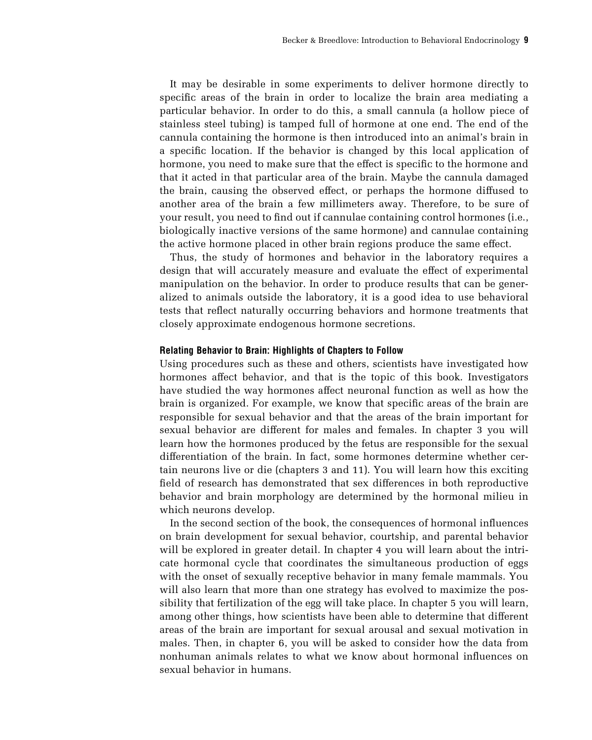It may be desirable in some experiments to deliver hormone directly to specific areas of the brain in order to localize the brain area mediating a particular behavior. In order to do this, a small cannula (a hollow piece of stainless steel tubing) is tamped full of hormone at one end. The end of the cannula containing the hormone is then introduced into an animal's brain in a specific location. If the behavior is changed by this local application of hormone, you need to make sure that the effect is specific to the hormone and that it acted in that particular area of the brain. Maybe the cannula damaged the brain, causing the observed effect, or perhaps the hormone diffused to another area of the brain a few millimeters away. Therefore, to be sure of your result, you need to find out if cannulae containing control hormones (i.e., biologically inactive versions of the same hormone) and cannulae containing the active hormone placed in other brain regions produce the same effect.

Thus, the study of hormones and behavior in the laboratory requires a design that will accurately measure and evaluate the effect of experimental manipulation on the behavior. In order to produce results that can be generalized to animals outside the laboratory, it is a good idea to use behavioral tests that reflect naturally occurring behaviors and hormone treatments that closely approximate endogenous hormone secretions.

#### Relating Behavior to Brain: Highlights of Chapters to Follow

Using procedures such as these and others, scientists have investigated how hormones affect behavior, and that is the topic of this book. Investigators have studied the way hormones affect neuronal function as well as how the brain is organized. For example, we know that specific areas of the brain are responsible for sexual behavior and that the areas of the brain important for sexual behavior are different for males and females. In chapter 3 you will learn how the hormones produced by the fetus are responsible for the sexual differentiation of the brain. In fact, some hormones determine whether certain neurons live or die (chapters 3 and 11). You will learn how this exciting field of research has demonstrated that sex differences in both reproductive behavior and brain morphology are determined by the hormonal milieu in which neurons develop.

In the second section of the book, the consequences of hormonal influences on brain development for sexual behavior, courtship, and parental behavior will be explored in greater detail. In chapter 4 you will learn about the intricate hormonal cycle that coordinates the simultaneous production of eggs with the onset of sexually receptive behavior in many female mammals. You will also learn that more than one strategy has evolved to maximize the possibility that fertilization of the egg will take place. In chapter 5 you will learn, among other things, how scientists have been able to determine that different areas of the brain are important for sexual arousal and sexual motivation in males. Then, in chapter 6, you will be asked to consider how the data from nonhuman animals relates to what we know about hormonal influences on sexual behavior in humans.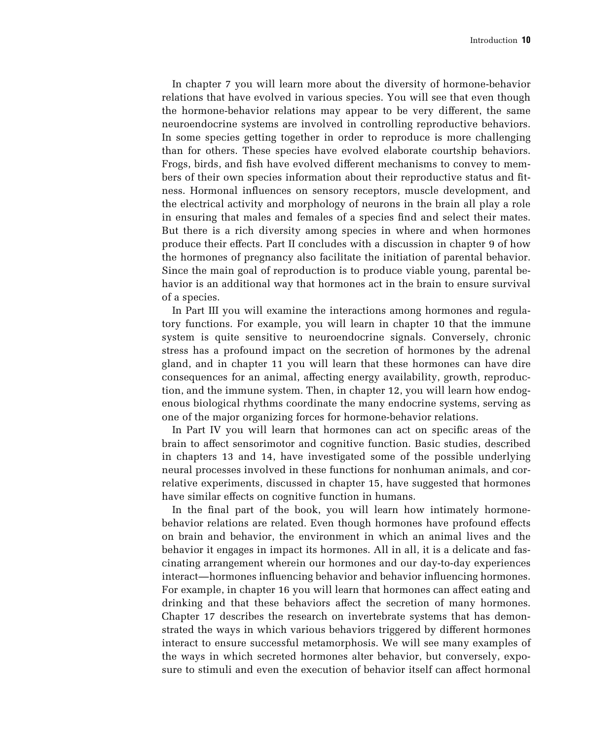In chapter 7 you will learn more about the diversity of hormone-behavior relations that have evolved in various species. You will see that even though the hormone-behavior relations may appear to be very different, the same neuroendocrine systems are involved in controlling reproductive behaviors. In some species getting together in order to reproduce is more challenging than for others. These species have evolved elaborate courtship behaviors. Frogs, birds, and fish have evolved different mechanisms to convey to members of their own species information about their reproductive status and fitness. Hormonal influences on sensory receptors, muscle development, and the electrical activity and morphology of neurons in the brain all play a role in ensuring that males and females of a species find and select their mates. But there is a rich diversity among species in where and when hormones produce their effects. Part II concludes with a discussion in chapter 9 of how the hormones of pregnancy also facilitate the initiation of parental behavior. Since the main goal of reproduction is to produce viable young, parental behavior is an additional way that hormones act in the brain to ensure survival of a species.

In Part III you will examine the interactions among hormones and regulatory functions. For example, you will learn in chapter 10 that the immune system is quite sensitive to neuroendocrine signals. Conversely, chronic stress has a profound impact on the secretion of hormones by the adrenal gland, and in chapter 11 you will learn that these hormones can have dire consequences for an animal, affecting energy availability, growth, reproduction, and the immune system. Then, in chapter 12, you will learn how endogenous biological rhythms coordinate the many endocrine systems, serving as one of the major organizing forces for hormone-behavior relations.

In Part IV you will learn that hormones can act on specific areas of the brain to affect sensorimotor and cognitive function. Basic studies, described in chapters 13 and 14, have investigated some of the possible underlying neural processes involved in these functions for nonhuman animals, and correlative experiments, discussed in chapter 15, have suggested that hormones have similar effects on cognitive function in humans.

In the final part of the book, you will learn how intimately hormonebehavior relations are related. Even though hormones have profound effects on brain and behavior, the environment in which an animal lives and the behavior it engages in impact its hormones. All in all, it is a delicate and fascinating arrangement wherein our hormones and our day-to-day experiences interact—hormones influencing behavior and behavior influencing hormones. For example, in chapter 16 you will learn that hormones can affect eating and drinking and that these behaviors affect the secretion of many hormones. Chapter 17 describes the research on invertebrate systems that has demonstrated the ways in which various behaviors triggered by different hormones interact to ensure successful metamorphosis. We will see many examples of the ways in which secreted hormones alter behavior, but conversely, exposure to stimuli and even the execution of behavior itself can affect hormonal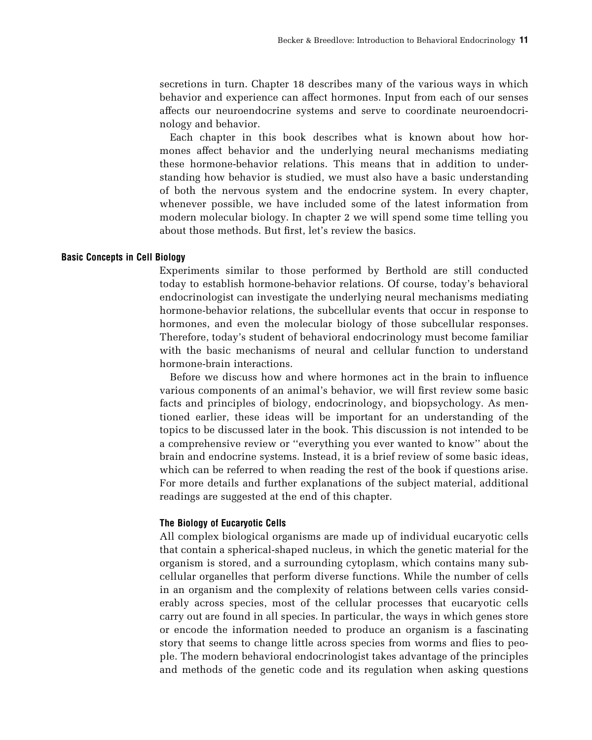secretions in turn. Chapter 18 describes many of the various ways in which behavior and experience can affect hormones. Input from each of our senses affects our neuroendocrine systems and serve to coordinate neuroendocrinology and behavior.

Each chapter in this book describes what is known about how hormones affect behavior and the underlying neural mechanisms mediating these hormone-behavior relations. This means that in addition to understanding how behavior is studied, we must also have a basic understanding of both the nervous system and the endocrine system. In every chapter, whenever possible, we have included some of the latest information from modern molecular biology. In chapter 2 we will spend some time telling you about those methods. But first, let's review the basics.

### Basic Concepts in Cell Biology

Experiments similar to those performed by Berthold are still conducted today to establish hormone-behavior relations. Of course, today's behavioral endocrinologist can investigate the underlying neural mechanisms mediating hormone-behavior relations, the subcellular events that occur in response to hormones, and even the molecular biology of those subcellular responses. Therefore, today's student of behavioral endocrinology must become familiar with the basic mechanisms of neural and cellular function to understand hormone-brain interactions.

Before we discuss how and where hormones act in the brain to influence various components of an animal's behavior, we will first review some basic facts and principles of biology, endocrinology, and biopsychology. As mentioned earlier, these ideas will be important for an understanding of the topics to be discussed later in the book. This discussion is not intended to be a comprehensive review or ''everything you ever wanted to know'' about the brain and endocrine systems. Instead, it is a brief review of some basic ideas, which can be referred to when reading the rest of the book if questions arise. For more details and further explanations of the subject material, additional readings are suggested at the end of this chapter.

# The Biology of Eucaryotic Cells

All complex biological organisms are made up of individual eucaryotic cells that contain a spherical-shaped nucleus, in which the genetic material for the organism is stored, and a surrounding cytoplasm, which contains many subcellular organelles that perform diverse functions. While the number of cells in an organism and the complexity of relations between cells varies considerably across species, most of the cellular processes that eucaryotic cells carry out are found in all species. In particular, the ways in which genes store or encode the information needed to produce an organism is a fascinating story that seems to change little across species from worms and flies to people. The modern behavioral endocrinologist takes advantage of the principles and methods of the genetic code and its regulation when asking questions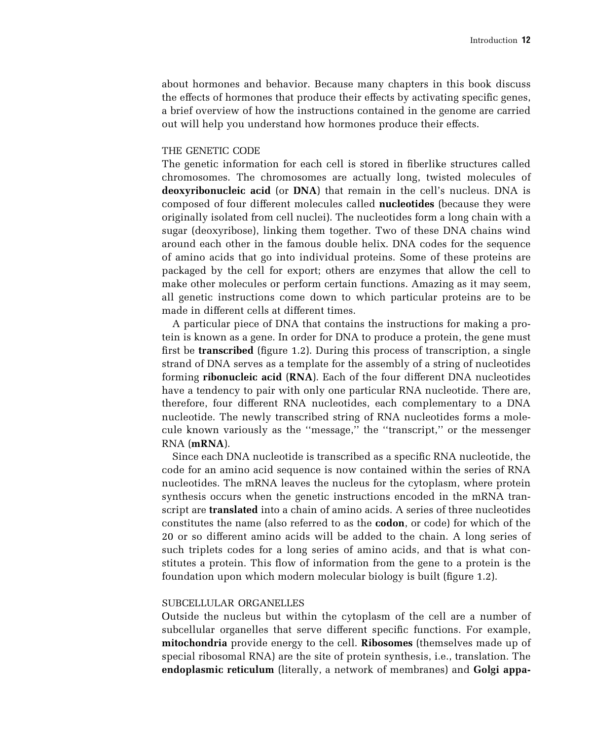about hormones and behavior. Because many chapters in this book discuss the effects of hormones that produce their effects by activating specific genes, a brief overview of how the instructions contained in the genome are carried out will help you understand how hormones produce their effects.

### THE GENETIC CODE

The genetic information for each cell is stored in fiberlike structures called chromosomes. The chromosomes are actually long, twisted molecules of deoxyribonucleic acid (or DNA) that remain in the cell's nucleus. DNA is composed of four different molecules called nucleotides (because they were originally isolated from cell nuclei). The nucleotides form a long chain with a sugar (deoxyribose), linking them together. Two of these DNA chains wind around each other in the famous double helix. DNA codes for the sequence of amino acids that go into individual proteins. Some of these proteins are packaged by the cell for export; others are enzymes that allow the cell to make other molecules or perform certain functions. Amazing as it may seem, all genetic instructions come down to which particular proteins are to be made in different cells at different times.

A particular piece of DNA that contains the instructions for making a protein is known as a gene. In order for DNA to produce a protein, the gene must first be **transcribed** (figure 1.2). During this process of transcription, a single strand of DNA serves as a template for the assembly of a string of nucleotides forming ribonucleic acid (RNA). Each of the four different DNA nucleotides have a tendency to pair with only one particular RNA nucleotide. There are, therefore, four different RNA nucleotides, each complementary to a DNA nucleotide. The newly transcribed string of RNA nucleotides forms a molecule known variously as the ''message,'' the ''transcript,'' or the messenger RNA (mRNA).

Since each DNA nucleotide is transcribed as a specific RNA nucleotide, the code for an amino acid sequence is now contained within the series of RNA nucleotides. The mRNA leaves the nucleus for the cytoplasm, where protein synthesis occurs when the genetic instructions encoded in the mRNA transcript are translated into a chain of amino acids. A series of three nucleotides constitutes the name (also referred to as the codon, or code) for which of the 20 or so different amino acids will be added to the chain. A long series of such triplets codes for a long series of amino acids, and that is what constitutes a protein. This flow of information from the gene to a protein is the foundation upon which modern molecular biology is built (figure 1.2).

# SUBCELLULAR ORGANELLES

Outside the nucleus but within the cytoplasm of the cell are a number of subcellular organelles that serve different specific functions. For example, mitochondria provide energy to the cell. Ribosomes (themselves made up of special ribosomal RNA) are the site of protein synthesis, i.e., translation. The endoplasmic reticulum (literally, a network of membranes) and Golgi appa-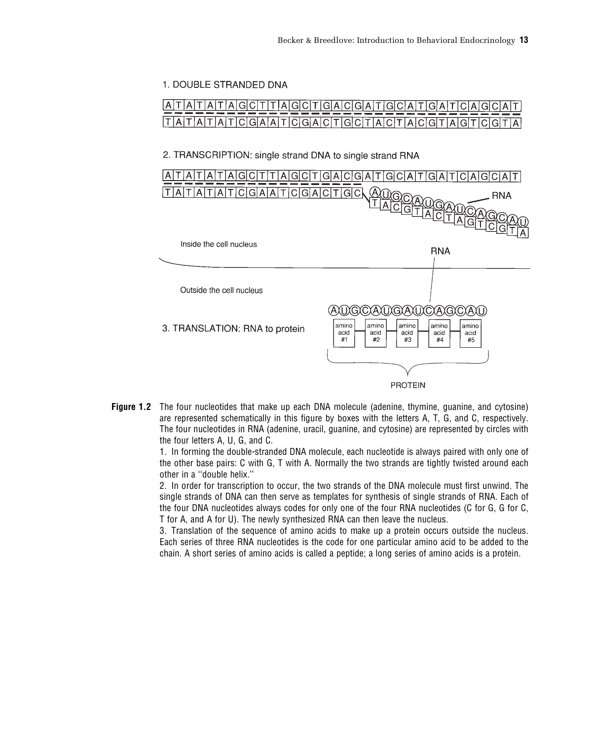# 1. DOUBLE STRANDED DNA



# 2. TRANSCRIPTION: single strand DNA to single strand RNA



Figure 1.2 The four nucleotides that make up each DNA molecule (adenine, thymine, guanine, and cytosine) are represented schematically in this figure by boxes with the letters A, T, G, and C, respectively. The four nucleotides in RNA (adenine, uracil, guanine, and cytosine) are represented by circles with the four letters A, U, G, and C.

1. In forming the double-stranded DNA molecule, each nucleotide is always paired with only one of the other base pairs: C with G, T with A. Normally the two strands are tightly twisted around each other in a ''double helix.''

2. In order for transcription to occur, the two strands of the DNA molecule must first unwind. The single strands of DNA can then serve as templates for synthesis of single strands of RNA. Each of the four DNA nucleotides always codes for only one of the four RNA nucleotides (C for G, G for C, T for A, and A for U). The newly synthesized RNA can then leave the nucleus.

3. Translation of the sequence of amino acids to make up a protein occurs outside the nucleus. Each series of three RNA nucleotides is the code for one particular amino acid to be added to the chain. A short series of amino acids is called a peptide; a long series of amino acids is a protein.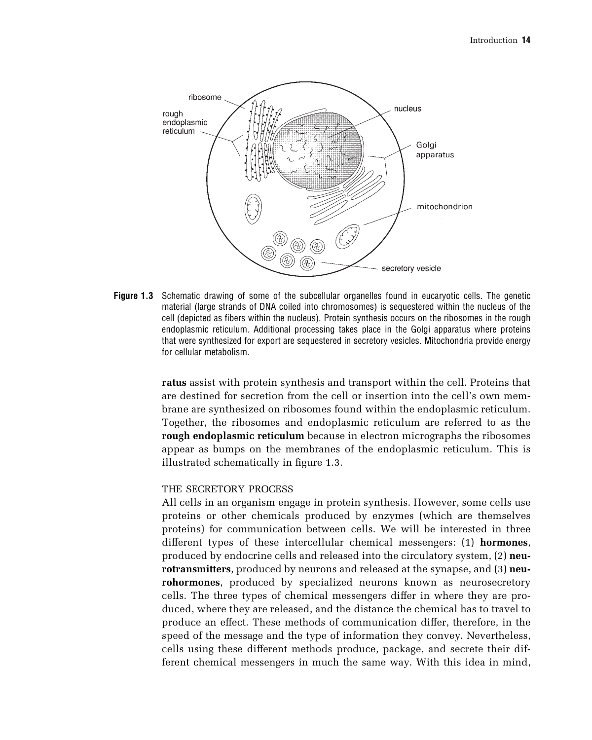

**Figure 1.3** Schematic drawing of some of the subcellular organelles found in eucaryotic cells. The genetic material (large strands of DNA coiled into chromosomes) is sequestered within the nucleus of the cell (depicted as fibers within the nucleus). Protein synthesis occurs on the ribosomes in the rough endoplasmic reticulum. Additional processing takes place in the Golgi apparatus where proteins that were synthesized for export are sequestered in secretory vesicles. Mitochondria provide energy for cellular metabolism.

> ratus assist with protein synthesis and transport within the cell. Proteins that are destined for secretion from the cell or insertion into the cell's own membrane are synthesized on ribosomes found within the endoplasmic reticulum. Together, the ribosomes and endoplasmic reticulum are referred to as the rough endoplasmic reticulum because in electron micrographs the ribosomes appear as bumps on the membranes of the endoplasmic reticulum. This is illustrated schematically in figure 1.3.

# THE SECRETORY PROCESS

All cells in an organism engage in protein synthesis. However, some cells use proteins or other chemicals produced by enzymes (which are themselves proteins) for communication between cells. We will be interested in three different types of these intercellular chemical messengers: (1) hormones, produced by endocrine cells and released into the circulatory system, (2) neurotransmitters, produced by neurons and released at the synapse, and (3) neurohormones, produced by specialized neurons known as neurosecretory cells. The three types of chemical messengers differ in where they are produced, where they are released, and the distance the chemical has to travel to produce an effect. These methods of communication differ, therefore, in the speed of the message and the type of information they convey. Nevertheless, cells using these different methods produce, package, and secrete their different chemical messengers in much the same way. With this idea in mind,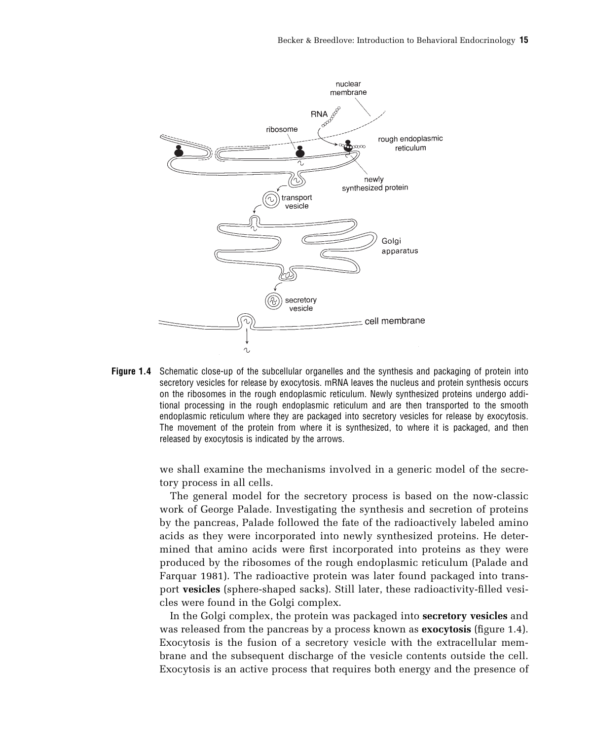

Figure 1.4 Schematic close-up of the subcellular organelles and the synthesis and packaging of protein into secretory vesicles for release by exocytosis. mRNA leaves the nucleus and protein synthesis occurs on the ribosomes in the rough endoplasmic reticulum. Newly synthesized proteins undergo additional processing in the rough endoplasmic reticulum and are then transported to the smooth endoplasmic reticulum where they are packaged into secretory vesicles for release by exocytosis. The movement of the protein from where it is synthesized, to where it is packaged, and then released by exocytosis is indicated by the arrows.

> we shall examine the mechanisms involved in a generic model of the secretory process in all cells.

> The general model for the secretory process is based on the now-classic work of George Palade. Investigating the synthesis and secretion of proteins by the pancreas, Palade followed the fate of the radioactively labeled amino acids as they were incorporated into newly synthesized proteins. He determined that amino acids were first incorporated into proteins as they were produced by the ribosomes of the rough endoplasmic reticulum (Palade and Farquar 1981). The radioactive protein was later found packaged into transport vesicles (sphere-shaped sacks). Still later, these radioactivity-filled vesicles were found in the Golgi complex.

> In the Golgi complex, the protein was packaged into secretory vesicles and was released from the pancreas by a process known as **exocytosis** (figure 1.4). Exocytosis is the fusion of a secretory vesicle with the extracellular membrane and the subsequent discharge of the vesicle contents outside the cell. Exocytosis is an active process that requires both energy and the presence of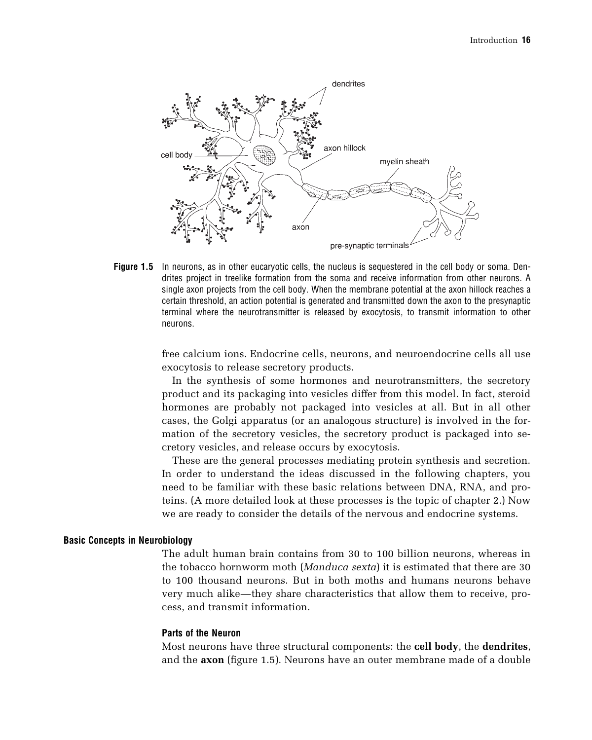

Figure 1.5 In neurons, as in other eucaryotic cells, the nucleus is sequestered in the cell body or soma. Dendrites project in treelike formation from the soma and receive information from other neurons. A single axon projects from the cell body. When the membrane potential at the axon hillock reaches a certain threshold, an action potential is generated and transmitted down the axon to the presynaptic terminal where the neurotransmitter is released by exocytosis, to transmit information to other neurons.

> free calcium ions. Endocrine cells, neurons, and neuroendocrine cells all use exocytosis to release secretory products.

> In the synthesis of some hormones and neurotransmitters, the secretory product and its packaging into vesicles differ from this model. In fact, steroid hormones are probably not packaged into vesicles at all. But in all other cases, the Golgi apparatus (or an analogous structure) is involved in the formation of the secretory vesicles, the secretory product is packaged into secretory vesicles, and release occurs by exocytosis.

> These are the general processes mediating protein synthesis and secretion. In order to understand the ideas discussed in the following chapters, you need to be familiar with these basic relations between DNA, RNA, and proteins. (A more detailed look at these processes is the topic of chapter 2.) Now we are ready to consider the details of the nervous and endocrine systems.

#### Basic Concepts in Neurobiology

The adult human brain contains from 30 to 100 billion neurons, whereas in the tobacco hornworm moth (*Manduca sexta*) it is estimated that there are 30 to 100 thousand neurons. But in both moths and humans neurons behave very much alike—they share characteristics that allow them to receive, process, and transmit information.

# Parts of the Neuron

Most neurons have three structural components: the **cell body**, the **dendrites**, and the axon (figure 1.5). Neurons have an outer membrane made of a double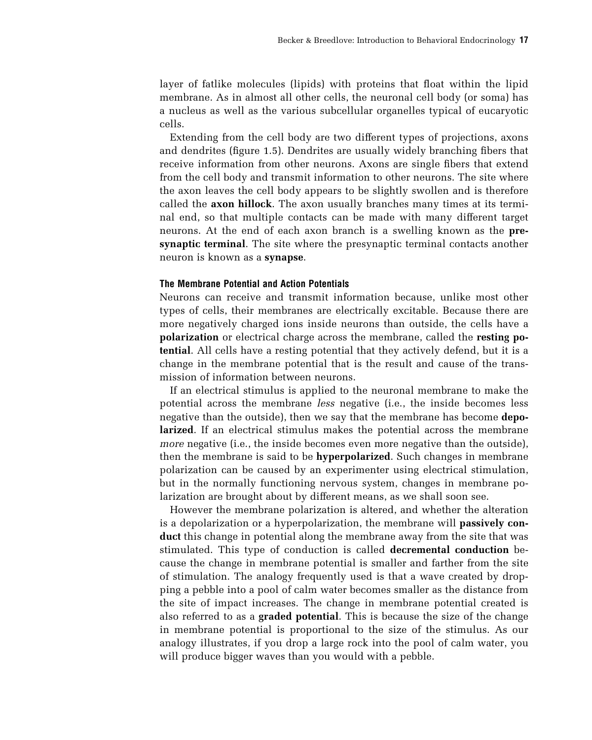layer of fatlike molecules (lipids) with proteins that float within the lipid membrane. As in almost all other cells, the neuronal cell body (or soma) has a nucleus as well as the various subcellular organelles typical of eucaryotic cells.

Extending from the cell body are two different types of projections, axons and dendrites (figure 1.5). Dendrites are usually widely branching fibers that receive information from other neurons. Axons are single fibers that extend from the cell body and transmit information to other neurons. The site where the axon leaves the cell body appears to be slightly swollen and is therefore called the **axon hillock**. The axon usually branches many times at its terminal end, so that multiple contacts can be made with many different target neurons. At the end of each axon branch is a swelling known as the presynaptic terminal. The site where the presynaptic terminal contacts another neuron is known as a synapse.

# The Membrane Potential and Action Potentials

Neurons can receive and transmit information because, unlike most other types of cells, their membranes are electrically excitable. Because there are more negatively charged ions inside neurons than outside, the cells have a polarization or electrical charge across the membrane, called the resting potential. All cells have a resting potential that they actively defend, but it is a change in the membrane potential that is the result and cause of the transmission of information between neurons.

If an electrical stimulus is applied to the neuronal membrane to make the potential across the membrane less negative (i.e., the inside becomes less negative than the outside), then we say that the membrane has become **depo**larized. If an electrical stimulus makes the potential across the membrane more negative (i.e., the inside becomes even more negative than the outside), then the membrane is said to be hyperpolarized. Such changes in membrane polarization can be caused by an experimenter using electrical stimulation, but in the normally functioning nervous system, changes in membrane polarization are brought about by different means, as we shall soon see.

However the membrane polarization is altered, and whether the alteration is a depolarization or a hyperpolarization, the membrane will passively conduct this change in potential along the membrane away from the site that was stimulated. This type of conduction is called decremental conduction because the change in membrane potential is smaller and farther from the site of stimulation. The analogy frequently used is that a wave created by dropping a pebble into a pool of calm water becomes smaller as the distance from the site of impact increases. The change in membrane potential created is also referred to as a graded potential. This is because the size of the change in membrane potential is proportional to the size of the stimulus. As our analogy illustrates, if you drop a large rock into the pool of calm water, you will produce bigger waves than you would with a pebble.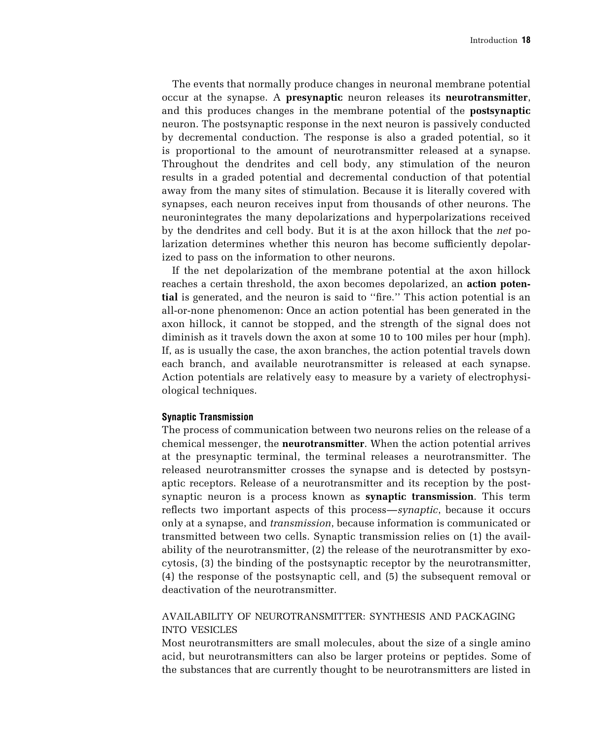The events that normally produce changes in neuronal membrane potential occur at the synapse. A presynaptic neuron releases its neurotransmitter, and this produces changes in the membrane potential of the postsynaptic neuron. The postsynaptic response in the next neuron is passively conducted by decremental conduction. The response is also a graded potential, so it is proportional to the amount of neurotransmitter released at a synapse. Throughout the dendrites and cell body, any stimulation of the neuron results in a graded potential and decremental conduction of that potential away from the many sites of stimulation. Because it is literally covered with synapses, each neuron receives input from thousands of other neurons. The neuronintegrates the many depolarizations and hyperpolarizations received by the dendrites and cell body. But it is at the axon hillock that the net polarization determines whether this neuron has become sufficiently depolarized to pass on the information to other neurons.

If the net depolarization of the membrane potential at the axon hillock reaches a certain threshold, the axon becomes depolarized, an action potential is generated, and the neuron is said to ''fire.'' This action potential is an all-or-none phenomenon: Once an action potential has been generated in the axon hillock, it cannot be stopped, and the strength of the signal does not diminish as it travels down the axon at some 10 to 100 miles per hour (mph). If, as is usually the case, the axon branches, the action potential travels down each branch, and available neurotransmitter is released at each synapse. Action potentials are relatively easy to measure by a variety of electrophysiological techniques.

### Synaptic Transmission

The process of communication between two neurons relies on the release of a chemical messenger, the **neurotransmitter**. When the action potential arrives at the presynaptic terminal, the terminal releases a neurotransmitter. The released neurotransmitter crosses the synapse and is detected by postsynaptic receptors. Release of a neurotransmitter and its reception by the postsynaptic neuron is a process known as **synaptic transmission**. This term reflects two important aspects of this process—synaptic, because it occurs only at a synapse, and transmission, because information is communicated or transmitted between two cells. Synaptic transmission relies on (1) the availability of the neurotransmitter, (2) the release of the neurotransmitter by exocytosis, (3) the binding of the postsynaptic receptor by the neurotransmitter, (4) the response of the postsynaptic cell, and (5) the subsequent removal or deactivation of the neurotransmitter.

# AVAILABILITY OF NEUROTRANSMITTER: SYNTHESIS AND PACKAGING INTO VESICLES

Most neurotransmitters are small molecules, about the size of a single amino acid, but neurotransmitters can also be larger proteins or peptides. Some of the substances that are currently thought to be neurotransmitters are listed in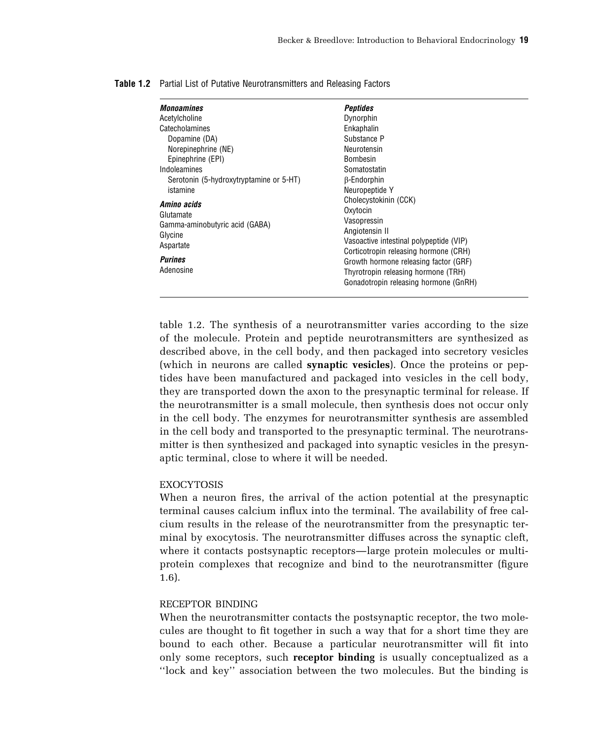| <b>Monoamines</b>                                                                  | <b>Peptides</b>                                                                                                                                        |
|------------------------------------------------------------------------------------|--------------------------------------------------------------------------------------------------------------------------------------------------------|
| Acetylcholine                                                                      | Dynorphin                                                                                                                                              |
| Catecholamines                                                                     | Enkaphalin                                                                                                                                             |
| Dopamine (DA)                                                                      | Substance P                                                                                                                                            |
| Norepinephrine (NE)                                                                | Neurotensin                                                                                                                                            |
| Epinephrine (EPI)                                                                  | <b>Bombesin</b>                                                                                                                                        |
| Indoleamines                                                                       | Somatostatin                                                                                                                                           |
| Serotonin (5-hydroxytryptamine or 5-HT)                                            | β-Endorphin                                                                                                                                            |
| istamine                                                                           | Neuropeptide Y                                                                                                                                         |
| Amino acids<br>Glutamate<br>Gamma-aminobutyric acid (GABA)<br>Glycine<br>Aspartate | Cholecystokinin (CCK)<br>Oxytocin<br>Vasopressin<br>Angiotensin II<br>Vasoactive intestinal polypeptide (VIP)<br>Corticotropin releasing hormone (CRH) |
| <b>Purines</b><br>Adenosine                                                        | Growth hormone releasing factor (GRF)<br>Thyrotropin releasing hormone (TRH)<br>Gonadotropin releasing hormone (GnRH)                                  |

#### Table 1.2 Partial List of Putative Neurotransmitters and Releasing Factors

table 1.2. The synthesis of a neurotransmitter varies according to the size of the molecule. Protein and peptide neurotransmitters are synthesized as described above, in the cell body, and then packaged into secretory vesicles (which in neurons are called **synaptic vesicles**). Once the proteins or peptides have been manufactured and packaged into vesicles in the cell body, they are transported down the axon to the presynaptic terminal for release. If the neurotransmitter is a small molecule, then synthesis does not occur only in the cell body. The enzymes for neurotransmitter synthesis are assembled in the cell body and transported to the presynaptic terminal. The neurotransmitter is then synthesized and packaged into synaptic vesicles in the presynaptic terminal, close to where it will be needed.

# EXOCYTOSIS

When a neuron fires, the arrival of the action potential at the presynaptic terminal causes calcium influx into the terminal. The availability of free calcium results in the release of the neurotransmitter from the presynaptic terminal by exocytosis. The neurotransmitter diffuses across the synaptic cleft, where it contacts postsynaptic receptors—large protein molecules or multiprotein complexes that recognize and bind to the neurotransmitter (figure 1.6).

# RECEPTOR BINDING

When the neurotransmitter contacts the postsynaptic receptor, the two molecules are thought to fit together in such a way that for a short time they are bound to each other. Because a particular neurotransmitter will fit into only some receptors, such receptor binding is usually conceptualized as a ''lock and key'' association between the two molecules. But the binding is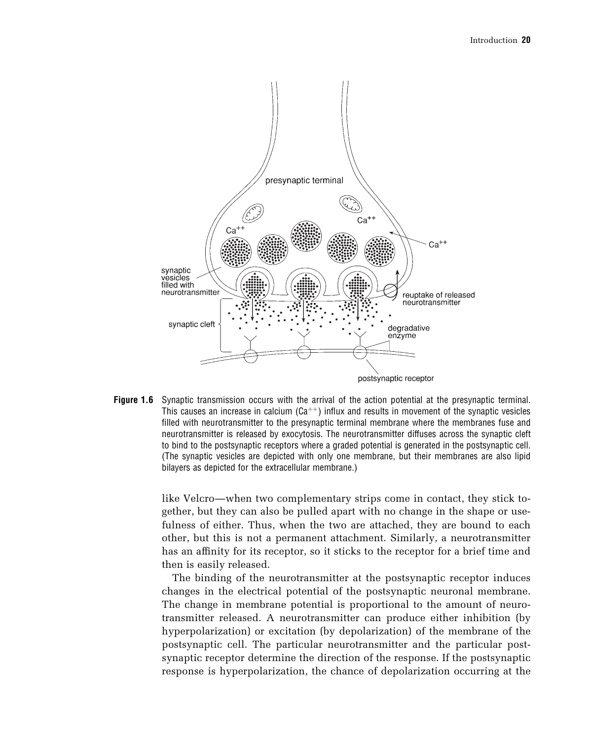

Figure 1.6 Synaptic transmission occurs with the arrival of the action potential at the presynaptic terminal. This causes an increase in calcium  $(Ca^{++})$  influx and results in movement of the synaptic vesicles filled with neurotransmitter to the presynaptic terminal membrane where the membranes fuse and neurotransmitter is released by exocytosis. The neurotransmitter diffuses across the synaptic cleft to bind to the postsynaptic receptors where a graded potential is generated in the postsynaptic cell. (The synaptic vesicles are depicted with only one membrane, but their membranes are also lipid bilayers as depicted for the extracellular membrane.)

> like Velcro—when two complementary strips come in contact, they stick together, but they can also be pulled apart with no change in the shape or usefulness of either. Thus, when the two are attached, they are bound to each other, but this is not a permanent attachment. Similarly, a neurotransmitter has an affinity for its receptor, so it sticks to the receptor for a brief time and then is easily released.

> The binding of the neurotransmitter at the postsynaptic receptor induces changes in the electrical potential of the postsynaptic neuronal membrane. The change in membrane potential is proportional to the amount of neurotransmitter released. A neurotransmitter can produce either inhibition (by hyperpolarization) or excitation (by depolarization) of the membrane of the postsynaptic cell. The particular neurotransmitter and the particular postsynaptic receptor determine the direction of the response. If the postsynaptic response is hyperpolarization, the chance of depolarization occurring at the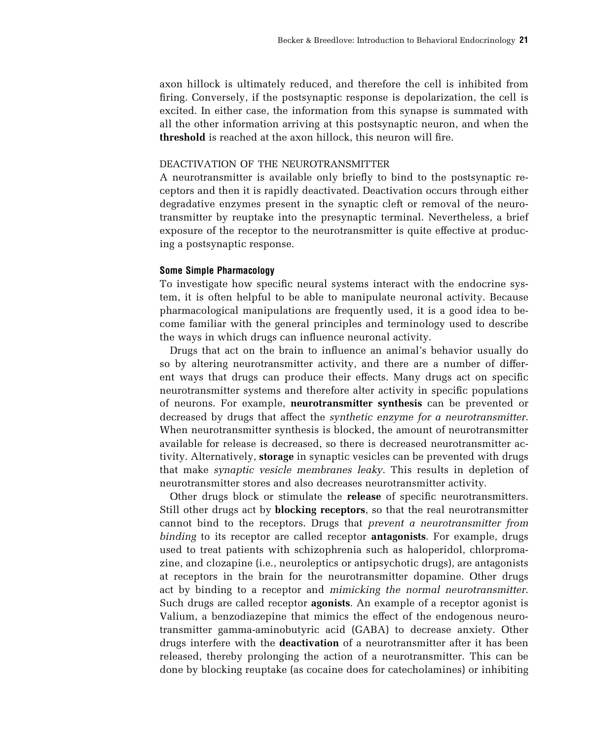axon hillock is ultimately reduced, and therefore the cell is inhibited from firing. Conversely, if the postsynaptic response is depolarization, the cell is excited. In either case, the information from this synapse is summated with all the other information arriving at this postsynaptic neuron, and when the threshold is reached at the axon hillock, this neuron will fire.

# DEACTIVATION OF THE NEUROTRANSMITTER

A neurotransmitter is available only briefly to bind to the postsynaptic receptors and then it is rapidly deactivated. Deactivation occurs through either degradative enzymes present in the synaptic cleft or removal of the neurotransmitter by reuptake into the presynaptic terminal. Nevertheless, a brief exposure of the receptor to the neurotransmitter is quite effective at producing a postsynaptic response.

# Some Simple Pharmacology

To investigate how specific neural systems interact with the endocrine system, it is often helpful to be able to manipulate neuronal activity. Because pharmacological manipulations are frequently used, it is a good idea to become familiar with the general principles and terminology used to describe the ways in which drugs can influence neuronal activity.

Drugs that act on the brain to influence an animal's behavior usually do so by altering neurotransmitter activity, and there are a number of different ways that drugs can produce their effects. Many drugs act on specific neurotransmitter systems and therefore alter activity in specific populations of neurons. For example, neurotransmitter synthesis can be prevented or decreased by drugs that affect the synthetic enzyme for a neurotransmitter. When neurotransmitter synthesis is blocked, the amount of neurotransmitter available for release is decreased, so there is decreased neurotransmitter activity. Alternatively, storage in synaptic vesicles can be prevented with drugs that make synaptic vesicle membranes leaky. This results in depletion of neurotransmitter stores and also decreases neurotransmitter activity.

Other drugs block or stimulate the release of specific neurotransmitters. Still other drugs act by blocking receptors, so that the real neurotransmitter cannot bind to the receptors. Drugs that prevent a neurotransmitter from binding to its receptor are called receptor **antagonists**. For example, drugs used to treat patients with schizophrenia such as haloperidol, chlorpromazine, and clozapine (i.e., neuroleptics or antipsychotic drugs), are antagonists at receptors in the brain for the neurotransmitter dopamine. Other drugs act by binding to a receptor and mimicking the normal neurotransmitter. Such drugs are called receptor agonists. An example of a receptor agonist is Valium, a benzodiazepine that mimics the effect of the endogenous neurotransmitter gamma-aminobutyric acid (GABA) to decrease anxiety. Other drugs interfere with the deactivation of a neurotransmitter after it has been released, thereby prolonging the action of a neurotransmitter. This can be done by blocking reuptake (as cocaine does for catecholamines) or inhibiting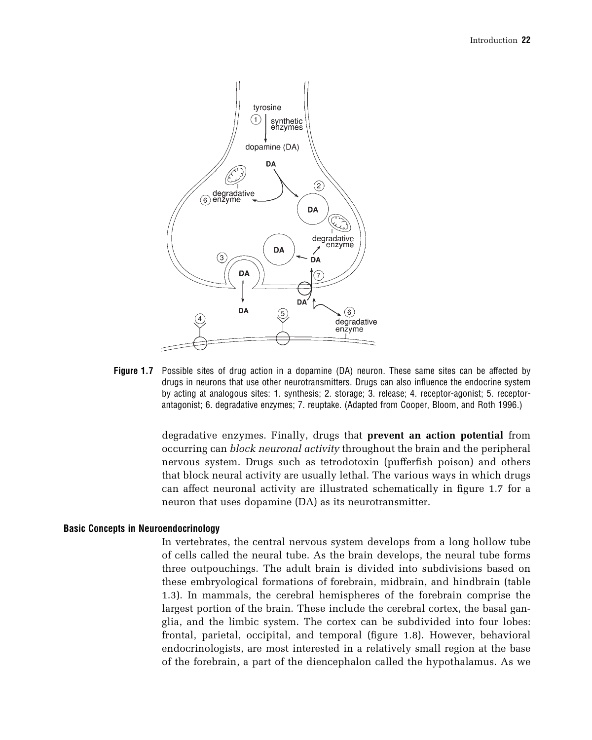

Figure 1.7 Possible sites of drug action in a dopamine (DA) neuron. These same sites can be affected by drugs in neurons that use other neurotransmitters. Drugs can also influence the endocrine system by acting at analogous sites: 1. synthesis; 2. storage; 3. release; 4. receptor-agonist; 5. receptorantagonist; 6. degradative enzymes; 7. reuptake. (Adapted from Cooper, Bloom, and Roth 1996.)

> degradative enzymes. Finally, drugs that prevent an action potential from occurring can block neuronal activity throughout the brain and the peripheral nervous system. Drugs such as tetrodotoxin (pufferfish poison) and others that block neural activity are usually lethal. The various ways in which drugs can affect neuronal activity are illustrated schematically in figure 1.7 for a neuron that uses dopamine (DA) as its neurotransmitter.

# Basic Concepts in Neuroendocrinology

In vertebrates, the central nervous system develops from a long hollow tube of cells called the neural tube. As the brain develops, the neural tube forms three outpouchings. The adult brain is divided into subdivisions based on these embryological formations of forebrain, midbrain, and hindbrain (table 1.3). In mammals, the cerebral hemispheres of the forebrain comprise the largest portion of the brain. These include the cerebral cortex, the basal ganglia, and the limbic system. The cortex can be subdivided into four lobes: frontal, parietal, occipital, and temporal (figure 1.8). However, behavioral endocrinologists, are most interested in a relatively small region at the base of the forebrain, a part of the diencephalon called the hypothalamus. As we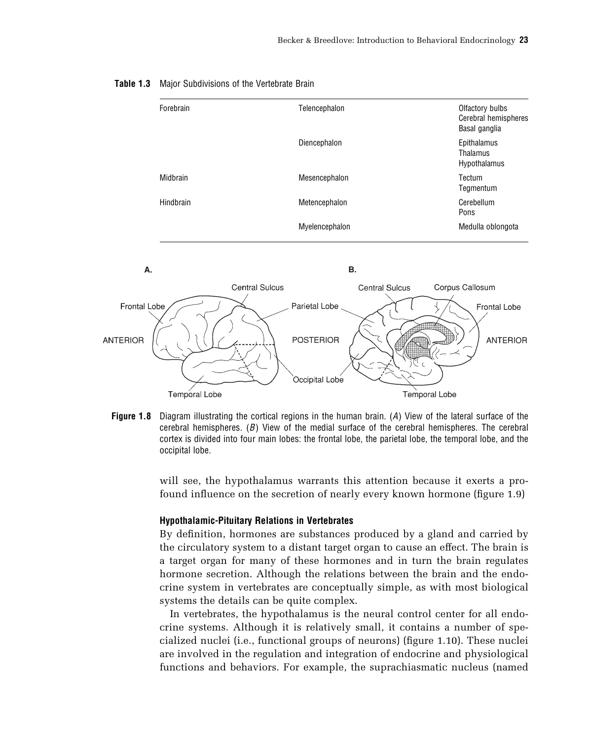

Table 1.3 Major Subdivisions of the Vertebrate Brain



Figure 1.8 Diagram illustrating the cortical regions in the human brain. (A) View of the lateral surface of the cerebral hemispheres.  $(B)$  View of the medial surface of the cerebral hemispheres. The cerebral cortex is divided into four main lobes: the frontal lobe, the parietal lobe, the temporal lobe, and the occipital lobe.

> will see, the hypothalamus warrants this attention because it exerts a profound influence on the secretion of nearly every known hormone (figure 1.9)

#### Hypothalamic-Pituitary Relations in Vertebrates

By definition, hormones are substances produced by a gland and carried by the circulatory system to a distant target organ to cause an effect. The brain is a target organ for many of these hormones and in turn the brain regulates hormone secretion. Although the relations between the brain and the endocrine system in vertebrates are conceptually simple, as with most biological systems the details can be quite complex.

In vertebrates, the hypothalamus is the neural control center for all endocrine systems. Although it is relatively small, it contains a number of specialized nuclei (i.e., functional groups of neurons) (figure 1.10). These nuclei are involved in the regulation and integration of endocrine and physiological functions and behaviors. For example, the suprachiasmatic nucleus (named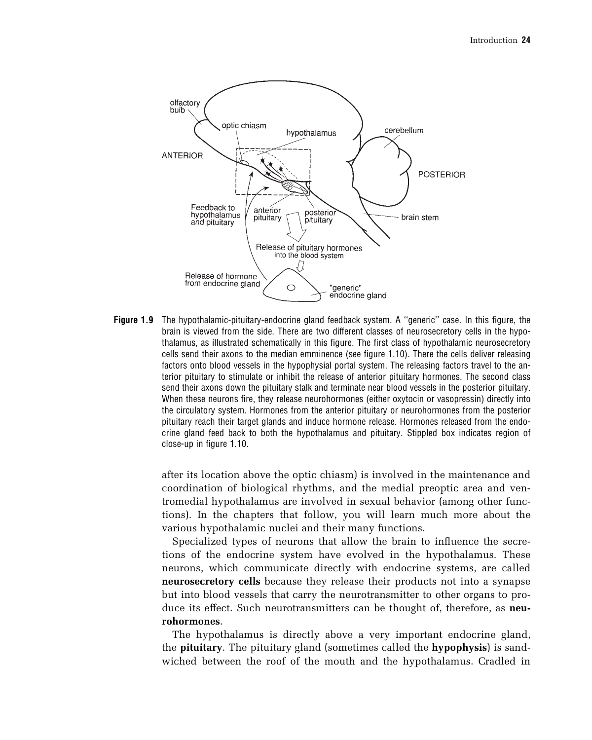

Figure 1.9 The hypothalamic-pituitary-endocrine gland feedback system. A "generic" case. In this figure, the brain is viewed from the side. There are two different classes of neurosecretory cells in the hypothalamus, as illustrated schematically in this figure. The first class of hypothalamic neurosecretory cells send their axons to the median emminence (see figure 1.10). There the cells deliver releasing factors onto blood vessels in the hypophysial portal system. The releasing factors travel to the anterior pituitary to stimulate or inhibit the release of anterior pituitary hormones. The second class send their axons down the pituitary stalk and terminate near blood vessels in the posterior pituitary. When these neurons fire, they release neurohormones (either oxytocin or vasopressin) directly into the circulatory system. Hormones from the anterior pituitary or neurohormones from the posterior pituitary reach their target glands and induce hormone release. Hormones released from the endocrine gland feed back to both the hypothalamus and pituitary. Stippled box indicates region of close-up in figure 1.10.

> after its location above the optic chiasm) is involved in the maintenance and coordination of biological rhythms, and the medial preoptic area and ventromedial hypothalamus are involved in sexual behavior (among other functions). In the chapters that follow, you will learn much more about the various hypothalamic nuclei and their many functions.

> Specialized types of neurons that allow the brain to influence the secretions of the endocrine system have evolved in the hypothalamus. These neurons, which communicate directly with endocrine systems, are called neurosecretory cells because they release their products not into a synapse but into blood vessels that carry the neurotransmitter to other organs to produce its effect. Such neurotransmitters can be thought of, therefore, as **neu**rohormones.

> The hypothalamus is directly above a very important endocrine gland, the **pituitary**. The pituitary gland (sometimes called the **hypophysis**) is sandwiched between the roof of the mouth and the hypothalamus. Cradled in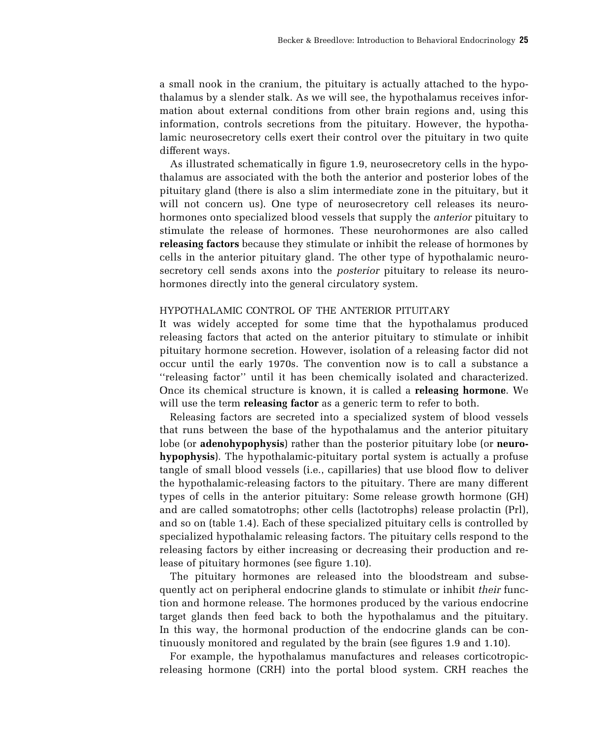a small nook in the cranium, the pituitary is actually attached to the hypothalamus by a slender stalk. As we will see, the hypothalamus receives information about external conditions from other brain regions and, using this information, controls secretions from the pituitary. However, the hypothalamic neurosecretory cells exert their control over the pituitary in two quite different ways.

As illustrated schematically in figure 1.9, neurosecretory cells in the hypothalamus are associated with the both the anterior and posterior lobes of the pituitary gland (there is also a slim intermediate zone in the pituitary, but it will not concern us). One type of neurosecretory cell releases its neurohormones onto specialized blood vessels that supply the anterior pituitary to stimulate the release of hormones. These neurohormones are also called releasing factors because they stimulate or inhibit the release of hormones by cells in the anterior pituitary gland. The other type of hypothalamic neurosecretory cell sends axons into the *posterior* pituitary to release its neurohormones directly into the general circulatory system.

# HYPOTHALAMIC CONTROL OF THE ANTERIOR PITUITARY

It was widely accepted for some time that the hypothalamus produced releasing factors that acted on the anterior pituitary to stimulate or inhibit pituitary hormone secretion. However, isolation of a releasing factor did not occur until the early 1970s. The convention now is to call a substance a ''releasing factor'' until it has been chemically isolated and characterized. Once its chemical structure is known, it is called a releasing hormone. We will use the term **releasing factor** as a generic term to refer to both.

Releasing factors are secreted into a specialized system of blood vessels that runs between the base of the hypothalamus and the anterior pituitary lobe (or adenohypophysis) rather than the posterior pituitary lobe (or neurohypophysis). The hypothalamic-pituitary portal system is actually a profuse tangle of small blood vessels (i.e., capillaries) that use blood flow to deliver the hypothalamic-releasing factors to the pituitary. There are many different types of cells in the anterior pituitary: Some release growth hormone (GH) and are called somatotrophs; other cells (lactotrophs) release prolactin (Prl), and so on (table 1.4). Each of these specialized pituitary cells is controlled by specialized hypothalamic releasing factors. The pituitary cells respond to the releasing factors by either increasing or decreasing their production and release of pituitary hormones (see figure 1.10).

The pituitary hormones are released into the bloodstream and subsequently act on peripheral endocrine glands to stimulate or inhibit their function and hormone release. The hormones produced by the various endocrine target glands then feed back to both the hypothalamus and the pituitary. In this way, the hormonal production of the endocrine glands can be continuously monitored and regulated by the brain (see figures 1.9 and 1.10).

For example, the hypothalamus manufactures and releases corticotropicreleasing hormone (CRH) into the portal blood system. CRH reaches the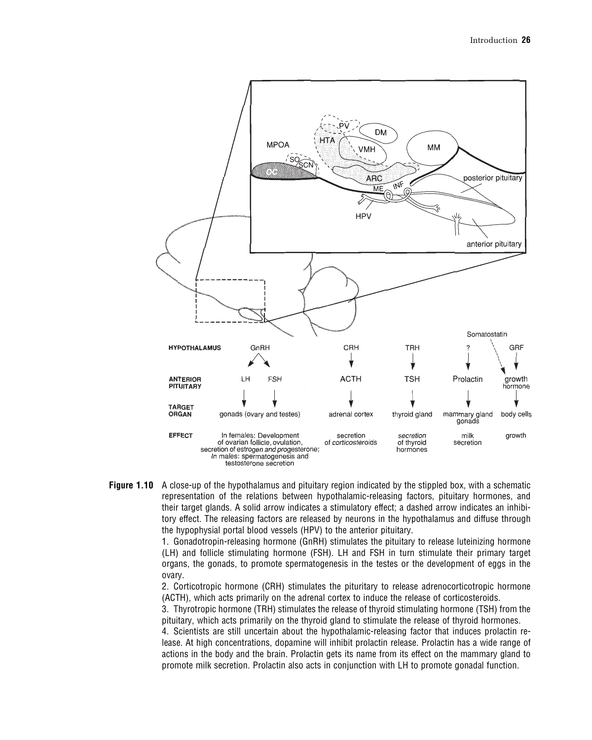

Figure 1.10 A close-up of the hypothalamus and pituitary region indicated by the stippled box, with a schematic representation of the relations between hypothalamic-releasing factors, pituitary hormones, and their target glands. A solid arrow indicates a stimulatory effect; a dashed arrow indicates an inhibitory effect. The releasing factors are released by neurons in the hypothalamus and diffuse through the hypophysial portal blood vessels (HPV) to the anterior pituitary.

> 1. Gonadotropin-releasing hormone (GnRH) stimulates the pituitary to release luteinizing hormone (LH) and follicle stimulating hormone (FSH). LH and FSH in turn stimulate their primary target organs, the gonads, to promote spermatogenesis in the testes or the development of eggs in the ovary.

> 2. Corticotropic hormone (CRH) stimulates the pituritary to release adrenocorticotropic hormone (ACTH), which acts primarily on the adrenal cortex to induce the release of corticosteroids.

> 3. Thyrotropic hormone (TRH) stimulates the release of thyroid stimulating hormone (TSH) from the pituitary, which acts primarily on the thyroid gland to stimulate the release of thyroid hormones.

> 4. Scientists are still uncertain about the hypothalamic-releasing factor that induces prolactin release. At high concentrations, dopamine will inhibit prolactin release. Prolactin has a wide range of actions in the body and the brain. Prolactin gets its name from its effect on the mammary gland to promote milk secretion. Prolactin also acts in conjunction with LH to promote gonadal function.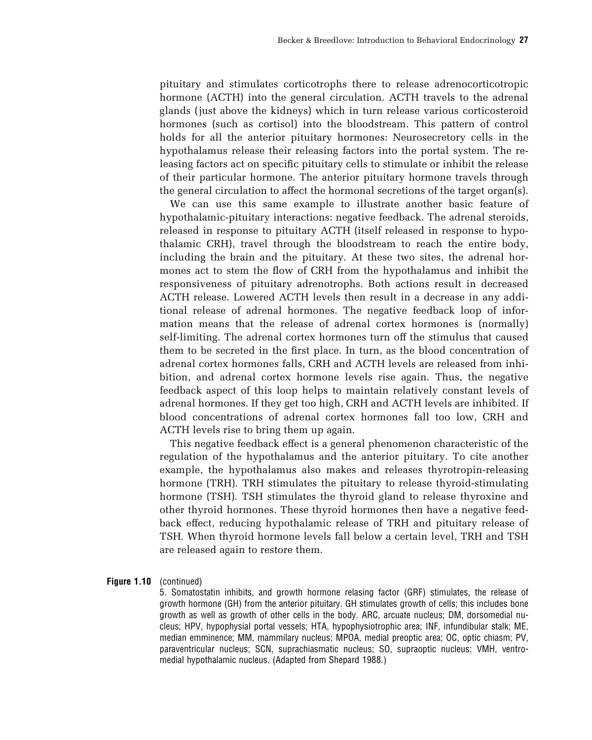pituitary and stimulates corticotrophs there to release adrenocorticotropic hormone (ACTH) into the general circulation. ACTH travels to the adrenal glands (just above the kidneys) which in turn release various corticosteroid hormones (such as cortisol) into the bloodstream. This pattern of control holds for all the anterior pituitary hormones: Neurosecretory cells in the hypothalamus release their releasing factors into the portal system. The releasing factors act on specific pituitary cells to stimulate or inhibit the release of their particular hormone. The anterior pituitary hormone travels through the general circulation to affect the hormonal secretions of the target organ(s).

We can use this same example to illustrate another basic feature of hypothalamic-pituitary interactions: negative feedback. The adrenal steroids, released in response to pituitary ACTH (itself released in response to hypothalamic CRH), travel through the bloodstream to reach the entire body, including the brain and the pituitary. At these two sites, the adrenal hormones act to stem the flow of CRH from the hypothalamus and inhibit the responsiveness of pituitary adrenotrophs. Both actions result in decreased ACTH release. Lowered ACTH levels then result in a decrease in any additional release of adrenal hormones. The negative feedback loop of information means that the release of adrenal cortex hormones is (normally) self-limiting. The adrenal cortex hormones turn off the stimulus that caused them to be secreted in the first place. In turn, as the blood concentration of adrenal cortex hormones falls, CRH and ACTH levels are released from inhibition, and adrenal cortex hormone levels rise again. Thus, the negative feedback aspect of this loop helps to maintain relatively constant levels of adrenal hormones. If they get too high, CRH and ACTH levels are inhibited. If blood concentrations of adrenal cortex hormones fall too low, CRH and ACTH levels rise to bring them up again.

This negative feedback effect is a general phenomenon characteristic of the regulation of the hypothalamus and the anterior pituitary. To cite another example, the hypothalamus also makes and releases thyrotropin-releasing hormone (TRH). TRH stimulates the pituitary to release thyroid-stimulating hormone (TSH). TSH stimulates the thyroid gland to release thyroxine and other thyroid hormones. These thyroid hormones then have a negative feedback effect, reducing hypothalamic release of TRH and pituitary release of TSH. When thyroid hormone levels fall below a certain level, TRH and TSH are released again to restore them.

#### Figure 1.10 (continued)

5. Somatostatin inhibits, and growth hormone relasing factor (GRF) stimulates, the release of growth hormone (GH) from the anterior pituitary. GH stimulates growth of cells; this includes bone growth as well as growth of other cells in the body. ARC, arcuate nucleus; DM, dorsomedial nucleus; HPV, hypophysial portal vessels; HTA, hypophysiotrophic area; INF, infundibular stalk; ME, median emminence; MM, mammilary nucleus; MPOA, medial preoptic area; OC, optic chiasm; PV, paraventricular nucleus; SCN, suprachiasmatic nucleus; SO, supraoptic nucleus; VMH, ventromedial hypothalamic nucleus. (Adapted from Shepard 1988.)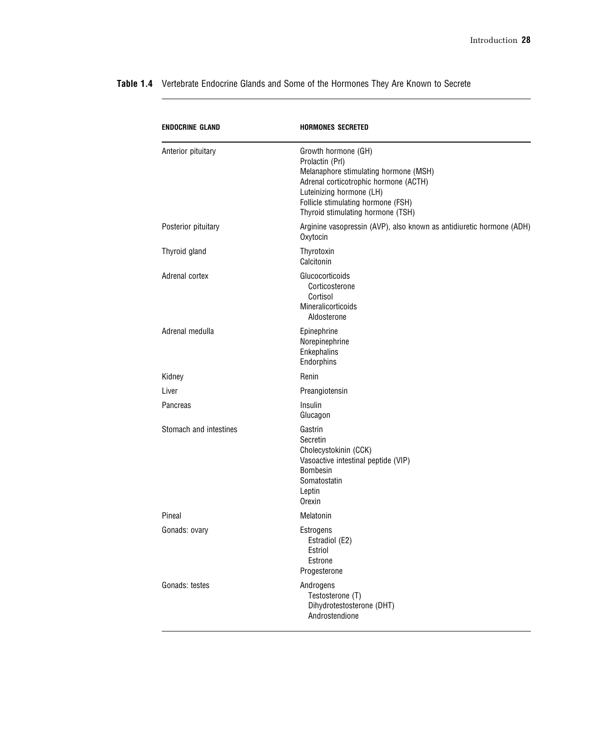| <b>ENDOCRINE GLAND</b> | <b>HORMONES SECRETED</b>                                                                                                                                                                                                        |
|------------------------|---------------------------------------------------------------------------------------------------------------------------------------------------------------------------------------------------------------------------------|
| Anterior pituitary     | Growth hormone (GH)<br>Prolactin (Prl)<br>Melanaphore stimulating hormone (MSH)<br>Adrenal corticotrophic hormone (ACTH)<br>Luteinizing hormone (LH)<br>Follicle stimulating hormone (FSH)<br>Thyroid stimulating hormone (TSH) |
| Posterior pituitary    | Arginine vasopressin (AVP), also known as antidiuretic hormone (ADH)<br>Oxytocin                                                                                                                                                |
| Thyroid gland          | Thyrotoxin<br>Calcitonin                                                                                                                                                                                                        |
| Adrenal cortex         | Glucocorticoids<br>Corticosterone<br>Cortisol<br><b>Mineralicorticoids</b><br>Aldosterone                                                                                                                                       |
| Adrenal medulla        | Epinephrine<br>Norepinephrine<br>Enkephalins<br>Endorphins                                                                                                                                                                      |
| Kidney                 | Renin                                                                                                                                                                                                                           |
| Liver                  | Preangiotensin                                                                                                                                                                                                                  |
| Pancreas               | Insulin<br>Glucagon                                                                                                                                                                                                             |
| Stomach and intestines | Gastrin<br>Secretin<br>Cholecystokinin (CCK)<br>Vasoactive intestinal peptide (VIP)<br><b>Bombesin</b><br>Somatostatin<br>Leptin<br>Orexin                                                                                      |
| Pineal                 | Melatonin                                                                                                                                                                                                                       |
| Gonads: ovary          | Estrogens<br>Estradiol (E2)<br>Estriol<br>Estrone<br>Progesterone                                                                                                                                                               |
| Gonads: testes         | Androgens<br>Testosterone (T)<br>Dihydrotestosterone (DHT)<br>Androstendione                                                                                                                                                    |

Table 1.4 Vertebrate Endocrine Glands and Some of the Hormones They Are Known to Secrete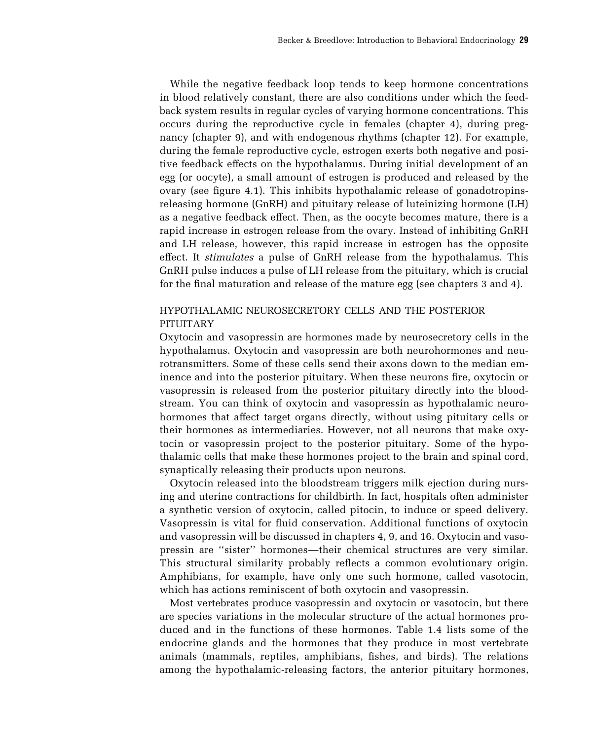While the negative feedback loop tends to keep hormone concentrations in blood relatively constant, there are also conditions under which the feedback system results in regular cycles of varying hormone concentrations. This occurs during the reproductive cycle in females (chapter 4), during pregnancy (chapter 9), and with endogenous rhythms (chapter 12). For example, during the female reproductive cycle, estrogen exerts both negative and positive feedback effects on the hypothalamus. During initial development of an egg (or oocyte), a small amount of estrogen is produced and released by the ovary (see figure 4.1). This inhibits hypothalamic release of gonadotropinsreleasing hormone (GnRH) and pituitary release of luteinizing hormone (LH) as a negative feedback effect. Then, as the oocyte becomes mature, there is a rapid increase in estrogen release from the ovary. Instead of inhibiting GnRH and LH release, however, this rapid increase in estrogen has the opposite effect. It stimulates a pulse of GnRH release from the hypothalamus. This GnRH pulse induces a pulse of LH release from the pituitary, which is crucial for the final maturation and release of the mature egg (see chapters 3 and 4).

# HYPOTHALAMIC NEUROSECRETORY CELLS AND THE POSTERIOR **PITUITARY**

Oxytocin and vasopressin are hormones made by neurosecretory cells in the hypothalamus. Oxytocin and vasopressin are both neurohormones and neurotransmitters. Some of these cells send their axons down to the median eminence and into the posterior pituitary. When these neurons fire, oxytocin or vasopressin is released from the posterior pituitary directly into the bloodstream. You can think of oxytocin and vasopressin as hypothalamic neurohormones that affect target organs directly, without using pituitary cells or their hormones as intermediaries. However, not all neurons that make oxytocin or vasopressin project to the posterior pituitary. Some of the hypothalamic cells that make these hormones project to the brain and spinal cord, synaptically releasing their products upon neurons.

Oxytocin released into the bloodstream triggers milk ejection during nursing and uterine contractions for childbirth. In fact, hospitals often administer a synthetic version of oxytocin, called pitocin, to induce or speed delivery. Vasopressin is vital for fluid conservation. Additional functions of oxytocin and vasopressin will be discussed in chapters 4, 9, and 16. Oxytocin and vasopressin are ''sister'' hormones—their chemical structures are very similar. This structural similarity probably reflects a common evolutionary origin. Amphibians, for example, have only one such hormone, called vasotocin, which has actions reminiscent of both oxytocin and vasopressin.

Most vertebrates produce vasopressin and oxytocin or vasotocin, but there are species variations in the molecular structure of the actual hormones produced and in the functions of these hormones. Table 1.4 lists some of the endocrine glands and the hormones that they produce in most vertebrate animals (mammals, reptiles, amphibians, fishes, and birds). The relations among the hypothalamic-releasing factors, the anterior pituitary hormones,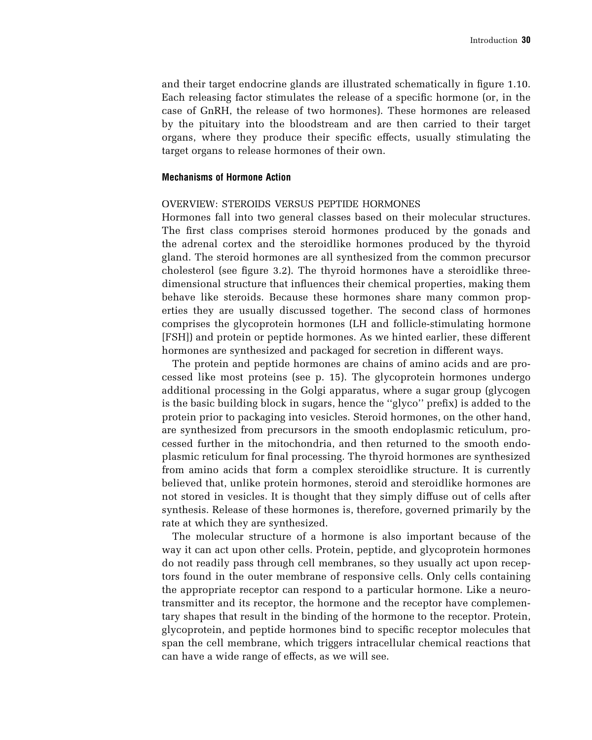and their target endocrine glands are illustrated schematically in figure 1.10. Each releasing factor stimulates the release of a specific hormone (or, in the case of GnRH, the release of two hormones). These hormones are released by the pituitary into the bloodstream and are then carried to their target organs, where they produce their specific effects, usually stimulating the target organs to release hormones of their own.

#### Mechanisms of Hormone Action

# OVERVIEW: STEROIDS VERSUS PEPTIDE HORMONES

Hormones fall into two general classes based on their molecular structures. The first class comprises steroid hormones produced by the gonads and the adrenal cortex and the steroidlike hormones produced by the thyroid gland. The steroid hormones are all synthesized from the common precursor cholesterol (see figure 3.2). The thyroid hormones have a steroidlike threedimensional structure that influences their chemical properties, making them behave like steroids. Because these hormones share many common properties they are usually discussed together. The second class of hormones comprises the glycoprotein hormones (LH and follicle-stimulating hormone [FSH]) and protein or peptide hormones. As we hinted earlier, these different hormones are synthesized and packaged for secretion in different ways.

The protein and peptide hormones are chains of amino acids and are processed like most proteins (see p. 15). The glycoprotein hormones undergo additional processing in the Golgi apparatus, where a sugar group (glycogen is the basic building block in sugars, hence the ''glyco'' prefix) is added to the protein prior to packaging into vesicles. Steroid hormones, on the other hand, are synthesized from precursors in the smooth endoplasmic reticulum, processed further in the mitochondria, and then returned to the smooth endoplasmic reticulum for final processing. The thyroid hormones are synthesized from amino acids that form a complex steroidlike structure. It is currently believed that, unlike protein hormones, steroid and steroidlike hormones are not stored in vesicles. It is thought that they simply diffuse out of cells after synthesis. Release of these hormones is, therefore, governed primarily by the rate at which they are synthesized.

The molecular structure of a hormone is also important because of the way it can act upon other cells. Protein, peptide, and glycoprotein hormones do not readily pass through cell membranes, so they usually act upon receptors found in the outer membrane of responsive cells. Only cells containing the appropriate receptor can respond to a particular hormone. Like a neurotransmitter and its receptor, the hormone and the receptor have complementary shapes that result in the binding of the hormone to the receptor. Protein, glycoprotein, and peptide hormones bind to specific receptor molecules that span the cell membrane, which triggers intracellular chemical reactions that can have a wide range of effects, as we will see.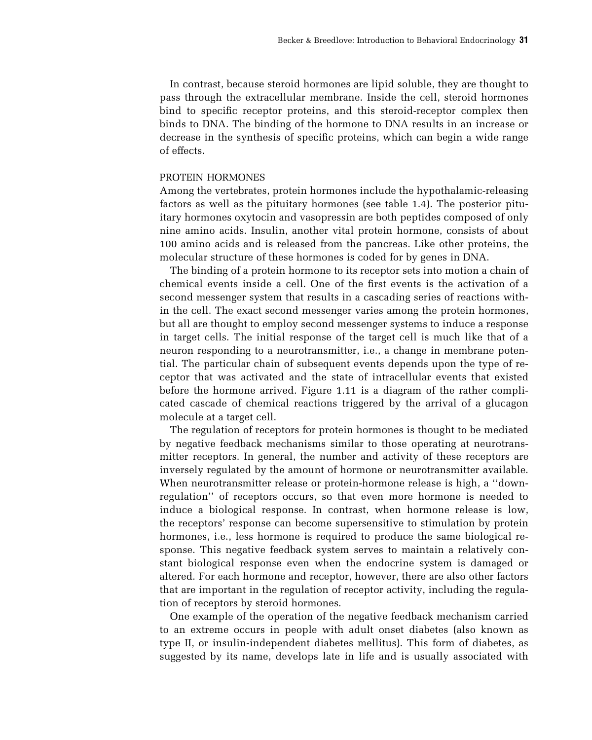In contrast, because steroid hormones are lipid soluble, they are thought to pass through the extracellular membrane. Inside the cell, steroid hormones bind to specific receptor proteins, and this steroid-receptor complex then binds to DNA. The binding of the hormone to DNA results in an increase or decrease in the synthesis of specific proteins, which can begin a wide range of effects.

# PROTEIN HORMONES

Among the vertebrates, protein hormones include the hypothalamic-releasing factors as well as the pituitary hormones (see table 1.4). The posterior pituitary hormones oxytocin and vasopressin are both peptides composed of only nine amino acids. Insulin, another vital protein hormone, consists of about 100 amino acids and is released from the pancreas. Like other proteins, the molecular structure of these hormones is coded for by genes in DNA.

The binding of a protein hormone to its receptor sets into motion a chain of chemical events inside a cell. One of the first events is the activation of a second messenger system that results in a cascading series of reactions within the cell. The exact second messenger varies among the protein hormones, but all are thought to employ second messenger systems to induce a response in target cells. The initial response of the target cell is much like that of a neuron responding to a neurotransmitter, i.e., a change in membrane potential. The particular chain of subsequent events depends upon the type of receptor that was activated and the state of intracellular events that existed before the hormone arrived. Figure 1.11 is a diagram of the rather complicated cascade of chemical reactions triggered by the arrival of a glucagon molecule at a target cell.

The regulation of receptors for protein hormones is thought to be mediated by negative feedback mechanisms similar to those operating at neurotransmitter receptors. In general, the number and activity of these receptors are inversely regulated by the amount of hormone or neurotransmitter available. When neurotransmitter release or protein-hormone release is high, a ''downregulation'' of receptors occurs, so that even more hormone is needed to induce a biological response. In contrast, when hormone release is low, the receptors' response can become supersensitive to stimulation by protein hormones, i.e., less hormone is required to produce the same biological response. This negative feedback system serves to maintain a relatively constant biological response even when the endocrine system is damaged or altered. For each hormone and receptor, however, there are also other factors that are important in the regulation of receptor activity, including the regulation of receptors by steroid hormones.

One example of the operation of the negative feedback mechanism carried to an extreme occurs in people with adult onset diabetes (also known as type II, or insulin-independent diabetes mellitus). This form of diabetes, as suggested by its name, develops late in life and is usually associated with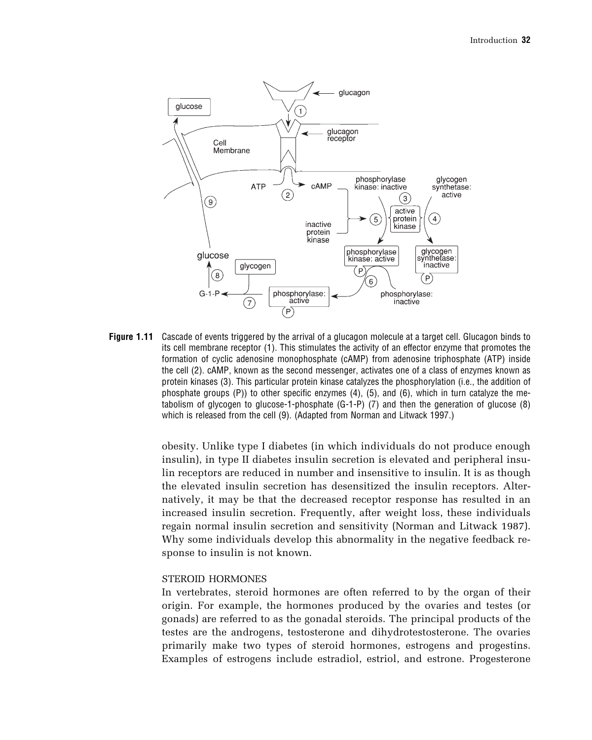

Figure 1.11 Cascade of events triggered by the arrival of a glucagon molecule at a target cell. Glucagon binds to its cell membrane receptor (1). This stimulates the activity of an effector enzyme that promotes the formation of cyclic adenosine monophosphate (cAMP) from adenosine triphosphate (ATP) inside the cell (2). cAMP, known as the second messenger, activates one of a class of enzymes known as protein kinases (3). This particular protein kinase catalyzes the phosphorylation (i.e., the addition of phosphate groups (P)) to other specific enzymes (4), (5), and (6), which in turn catalyze the metabolism of glycogen to glucose-1-phosphate (G-1-P) (7) and then the generation of glucose (8) which is released from the cell (9). (Adapted from Norman and Litwack 1997.)

> obesity. Unlike type I diabetes (in which individuals do not produce enough insulin), in type II diabetes insulin secretion is elevated and peripheral insulin receptors are reduced in number and insensitive to insulin. It is as though the elevated insulin secretion has desensitized the insulin receptors. Alternatively, it may be that the decreased receptor response has resulted in an increased insulin secretion. Frequently, after weight loss, these individuals regain normal insulin secretion and sensitivity (Norman and Litwack 1987). Why some individuals develop this abnormality in the negative feedback response to insulin is not known.

#### STEROID HORMONES

In vertebrates, steroid hormones are often referred to by the organ of their origin. For example, the hormones produced by the ovaries and testes (or gonads) are referred to as the gonadal steroids. The principal products of the testes are the androgens, testosterone and dihydrotestosterone. The ovaries primarily make two types of steroid hormones, estrogens and progestins. Examples of estrogens include estradiol, estriol, and estrone. Progesterone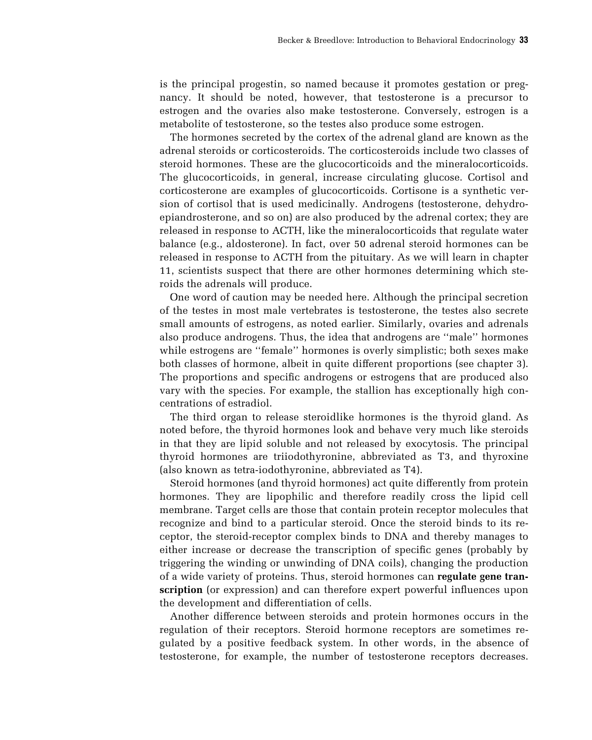is the principal progestin, so named because it promotes gestation or pregnancy. It should be noted, however, that testosterone is a precursor to estrogen and the ovaries also make testosterone. Conversely, estrogen is a metabolite of testosterone, so the testes also produce some estrogen.

The hormones secreted by the cortex of the adrenal gland are known as the adrenal steroids or corticosteroids. The corticosteroids include two classes of steroid hormones. These are the glucocorticoids and the mineralocorticoids. The glucocorticoids, in general, increase circulating glucose. Cortisol and corticosterone are examples of glucocorticoids. Cortisone is a synthetic version of cortisol that is used medicinally. Androgens (testosterone, dehydroepiandrosterone, and so on) are also produced by the adrenal cortex; they are released in response to ACTH, like the mineralocorticoids that regulate water balance (e.g., aldosterone). In fact, over 50 adrenal steroid hormones can be released in response to ACTH from the pituitary. As we will learn in chapter 11, scientists suspect that there are other hormones determining which steroids the adrenals will produce.

One word of caution may be needed here. Although the principal secretion of the testes in most male vertebrates is testosterone, the testes also secrete small amounts of estrogens, as noted earlier. Similarly, ovaries and adrenals also produce androgens. Thus, the idea that androgens are ''male'' hormones while estrogens are ''female'' hormones is overly simplistic; both sexes make both classes of hormone, albeit in quite different proportions (see chapter 3). The proportions and specific androgens or estrogens that are produced also vary with the species. For example, the stallion has exceptionally high concentrations of estradiol.

The third organ to release steroidlike hormones is the thyroid gland. As noted before, the thyroid hormones look and behave very much like steroids in that they are lipid soluble and not released by exocytosis. The principal thyroid hormones are triiodothyronine, abbreviated as T3, and thyroxine (also known as tetra-iodothyronine, abbreviated as T4).

Steroid hormones (and thyroid hormones) act quite differently from protein hormones. They are lipophilic and therefore readily cross the lipid cell membrane. Target cells are those that contain protein receptor molecules that recognize and bind to a particular steroid. Once the steroid binds to its receptor, the steroid-receptor complex binds to DNA and thereby manages to either increase or decrease the transcription of specific genes (probably by triggering the winding or unwinding of DNA coils), changing the production of a wide variety of proteins. Thus, steroid hormones can regulate gene transcription (or expression) and can therefore expert powerful influences upon the development and differentiation of cells.

Another difference between steroids and protein hormones occurs in the regulation of their receptors. Steroid hormone receptors are sometimes regulated by a positive feedback system. In other words, in the absence of testosterone, for example, the number of testosterone receptors decreases.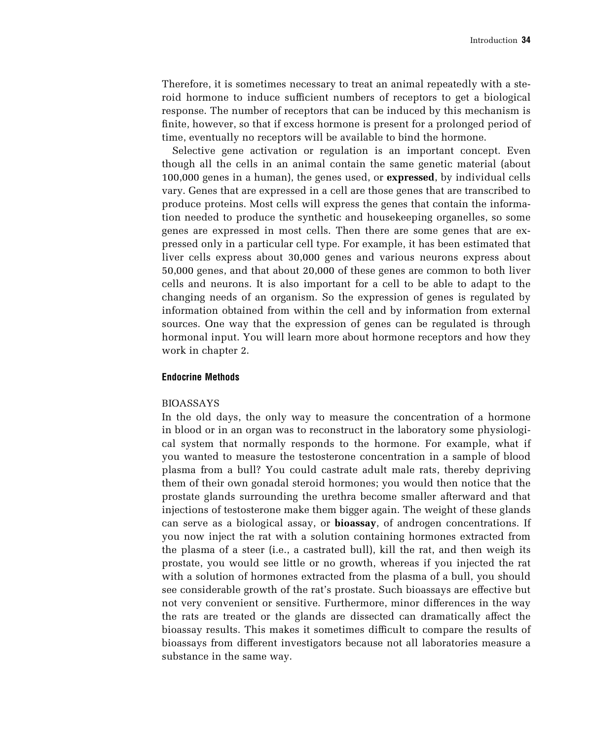Therefore, it is sometimes necessary to treat an animal repeatedly with a steroid hormone to induce sufficient numbers of receptors to get a biological response. The number of receptors that can be induced by this mechanism is finite, however, so that if excess hormone is present for a prolonged period of time, eventually no receptors will be available to bind the hormone.

Selective gene activation or regulation is an important concept. Even though all the cells in an animal contain the same genetic material (about 100,000 genes in a human), the genes used, or expressed, by individual cells vary. Genes that are expressed in a cell are those genes that are transcribed to produce proteins. Most cells will express the genes that contain the information needed to produce the synthetic and housekeeping organelles, so some genes are expressed in most cells. Then there are some genes that are expressed only in a particular cell type. For example, it has been estimated that liver cells express about 30,000 genes and various neurons express about 50,000 genes, and that about 20,000 of these genes are common to both liver cells and neurons. It is also important for a cell to be able to adapt to the changing needs of an organism. So the expression of genes is regulated by information obtained from within the cell and by information from external sources. One way that the expression of genes can be regulated is through hormonal input. You will learn more about hormone receptors and how they work in chapter 2.

# Endocrine Methods

### BIOASSAYS

In the old days, the only way to measure the concentration of a hormone in blood or in an organ was to reconstruct in the laboratory some physiological system that normally responds to the hormone. For example, what if you wanted to measure the testosterone concentration in a sample of blood plasma from a bull? You could castrate adult male rats, thereby depriving them of their own gonadal steroid hormones; you would then notice that the prostate glands surrounding the urethra become smaller afterward and that injections of testosterone make them bigger again. The weight of these glands can serve as a biological assay, or **bioassay**, of androgen concentrations. If you now inject the rat with a solution containing hormones extracted from the plasma of a steer (i.e., a castrated bull), kill the rat, and then weigh its prostate, you would see little or no growth, whereas if you injected the rat with a solution of hormones extracted from the plasma of a bull, you should see considerable growth of the rat's prostate. Such bioassays are effective but not very convenient or sensitive. Furthermore, minor differences in the way the rats are treated or the glands are dissected can dramatically affect the bioassay results. This makes it sometimes difficult to compare the results of bioassays from different investigators because not all laboratories measure a substance in the same way.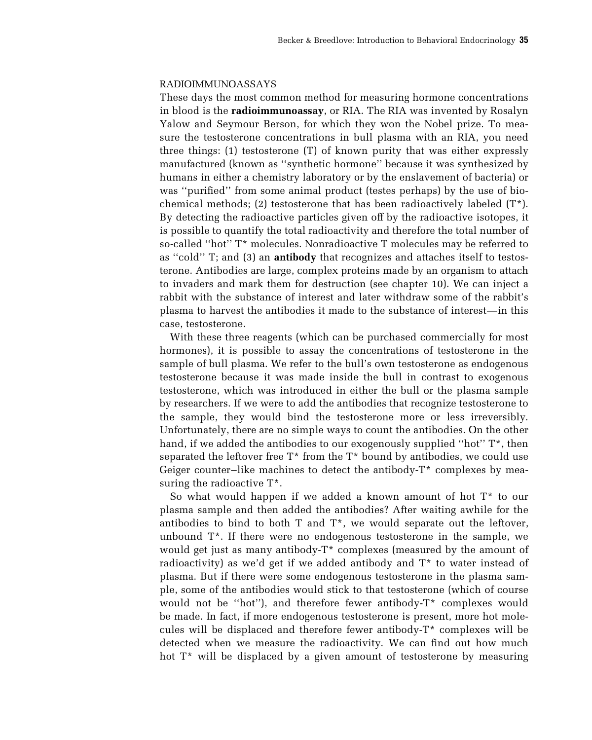## RADIOIMMUNOASSAYS

These days the most common method for measuring hormone concentrations in blood is the radioimmunoassay, or RIA. The RIA was invented by Rosalyn Yalow and Seymour Berson, for which they won the Nobel prize. To measure the testosterone concentrations in bull plasma with an RIA, you need three things: (1) testosterone (T) of known purity that was either expressly manufactured (known as ''synthetic hormone'' because it was synthesized by humans in either a chemistry laboratory or by the enslavement of bacteria) or was ''purified'' from some animal product (testes perhaps) by the use of biochemical methods; (2) testosterone that has been radioactively labeled (T\*). By detecting the radioactive particles given off by the radioactive isotopes, it is possible to quantify the total radioactivity and therefore the total number of so-called ''hot'' T\* molecules. Nonradioactive T molecules may be referred to as ''cold'' T; and (3) an antibody that recognizes and attaches itself to testosterone. Antibodies are large, complex proteins made by an organism to attach to invaders and mark them for destruction (see chapter 10). We can inject a rabbit with the substance of interest and later withdraw some of the rabbit's plasma to harvest the antibodies it made to the substance of interest—in this case, testosterone.

With these three reagents (which can be purchased commercially for most hormones), it is possible to assay the concentrations of testosterone in the sample of bull plasma. We refer to the bull's own testosterone as endogenous testosterone because it was made inside the bull in contrast to exogenous testosterone, which was introduced in either the bull or the plasma sample by researchers. If we were to add the antibodies that recognize testosterone to the sample, they would bind the testosterone more or less irreversibly. Unfortunately, there are no simple ways to count the antibodies. On the other hand, if we added the antibodies to our exogenously supplied "hot" T\*, then separated the leftover free  $T^*$  from the  $T^*$  bound by antibodies, we could use Geiger counter–like machines to detect the antibody- $T^*$  complexes by measuring the radioactive T\*.

So what would happen if we added a known amount of hot  $T^*$  to our plasma sample and then added the antibodies? After waiting awhile for the antibodies to bind to both T and T\*, we would separate out the leftover, unbound T\*. If there were no endogenous testosterone in the sample, we would get just as many antibody-T\* complexes (measured by the amount of radioactivity) as we'd get if we added antibody and  $T^*$  to water instead of plasma. But if there were some endogenous testosterone in the plasma sample, some of the antibodies would stick to that testosterone (which of course would not be ''hot''), and therefore fewer antibody-T\* complexes would be made. In fact, if more endogenous testosterone is present, more hot molecules will be displaced and therefore fewer antibody-T\* complexes will be detected when we measure the radioactivity. We can find out how much hot T\* will be displaced by a given amount of testosterone by measuring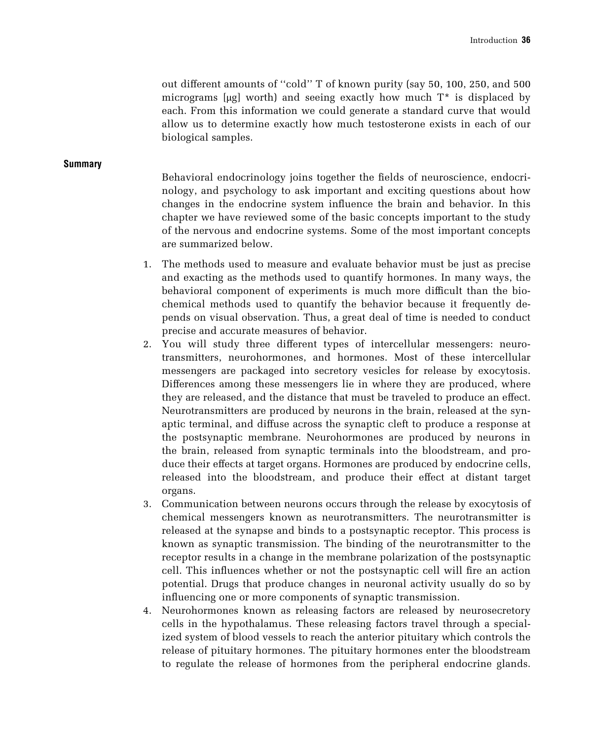out different amounts of ''cold'' T of known purity (say 50, 100, 250, and 500 micrograms  $\lceil \mu g \rceil$  worth) and seeing exactly how much  $T^*$  is displaced by each. From this information we could generate a standard curve that would allow us to determine exactly how much testosterone exists in each of our biological samples.

### **Summary**

Behavioral endocrinology joins together the fields of neuroscience, endocrinology, and psychology to ask important and exciting questions about how changes in the endocrine system influence the brain and behavior. In this chapter we have reviewed some of the basic concepts important to the study of the nervous and endocrine systems. Some of the most important concepts are summarized below.

- 1. The methods used to measure and evaluate behavior must be just as precise and exacting as the methods used to quantify hormones. In many ways, the behavioral component of experiments is much more difficult than the biochemical methods used to quantify the behavior because it frequently depends on visual observation. Thus, a great deal of time is needed to conduct precise and accurate measures of behavior.
- 2. You will study three different types of intercellular messengers: neurotransmitters, neurohormones, and hormones. Most of these intercellular messengers are packaged into secretory vesicles for release by exocytosis. Differences among these messengers lie in where they are produced, where they are released, and the distance that must be traveled to produce an effect. Neurotransmitters are produced by neurons in the brain, released at the synaptic terminal, and diffuse across the synaptic cleft to produce a response at the postsynaptic membrane. Neurohormones are produced by neurons in the brain, released from synaptic terminals into the bloodstream, and produce their effects at target organs. Hormones are produced by endocrine cells, released into the bloodstream, and produce their effect at distant target organs.
- 3. Communication between neurons occurs through the release by exocytosis of chemical messengers known as neurotransmitters. The neurotransmitter is released at the synapse and binds to a postsynaptic receptor. This process is known as synaptic transmission. The binding of the neurotransmitter to the receptor results in a change in the membrane polarization of the postsynaptic cell. This influences whether or not the postsynaptic cell will fire an action potential. Drugs that produce changes in neuronal activity usually do so by influencing one or more components of synaptic transmission.
- 4. Neurohormones known as releasing factors are released by neurosecretory cells in the hypothalamus. These releasing factors travel through a specialized system of blood vessels to reach the anterior pituitary which controls the release of pituitary hormones. The pituitary hormones enter the bloodstream to regulate the release of hormones from the peripheral endocrine glands.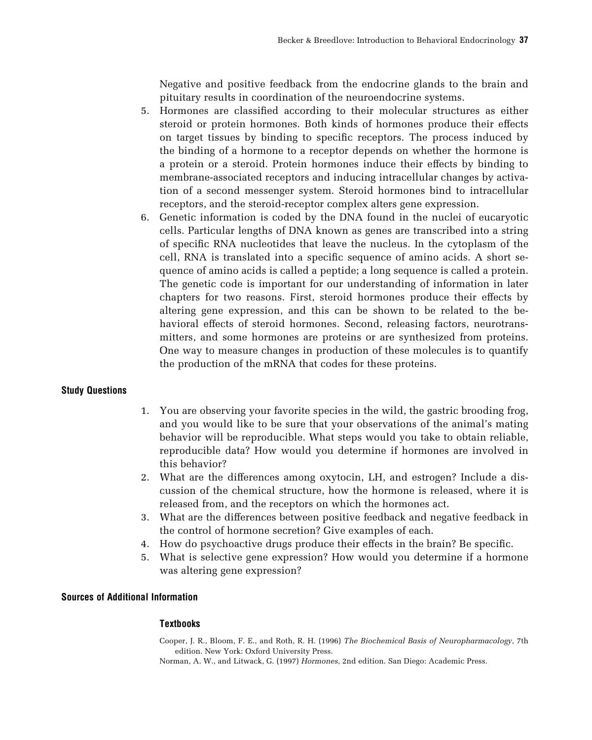Negative and positive feedback from the endocrine glands to the brain and pituitary results in coordination of the neuroendocrine systems.

- 5. Hormones are classified according to their molecular structures as either steroid or protein hormones. Both kinds of hormones produce their effects on target tissues by binding to specific receptors. The process induced by the binding of a hormone to a receptor depends on whether the hormone is a protein or a steroid. Protein hormones induce their effects by binding to membrane-associated receptors and inducing intracellular changes by activation of a second messenger system. Steroid hormones bind to intracellular receptors, and the steroid-receptor complex alters gene expression.
- 6. Genetic information is coded by the DNA found in the nuclei of eucaryotic cells. Particular lengths of DNA known as genes are transcribed into a string of specific RNA nucleotides that leave the nucleus. In the cytoplasm of the cell, RNA is translated into a specific sequence of amino acids. A short sequence of amino acids is called a peptide; a long sequence is called a protein. The genetic code is important for our understanding of information in later chapters for two reasons. First, steroid hormones produce their effects by altering gene expression, and this can be shown to be related to the behavioral effects of steroid hormones. Second, releasing factors, neurotransmitters, and some hormones are proteins or are synthesized from proteins. One way to measure changes in production of these molecules is to quantify the production of the mRNA that codes for these proteins.

# Study Questions

- 1. You are observing your favorite species in the wild, the gastric brooding frog, and you would like to be sure that your observations of the animal's mating behavior will be reproducible. What steps would you take to obtain reliable, reproducible data? How would you determine if hormones are involved in this behavior?
- 2. What are the differences among oxytocin, LH, and estrogen? Include a discussion of the chemical structure, how the hormone is released, where it is released from, and the receptors on which the hormones act.
- 3. What are the differences between positive feedback and negative feedback in the control of hormone secretion? Give examples of each.
- 4. How do psychoactive drugs produce their effects in the brain? Be specific.
- 5. What is selective gene expression? How would you determine if a hormone was altering gene expression?

# Sources of Additional Information

#### Textbooks

Cooper, J. R., Bloom, F. E., and Roth, R. H. (1996) The Biochemical Basis of Neuropharmacology, 7th edition. New York: Oxford University Press.

Norman, A. W., and Litwack, G. (1997) Hormones, 2nd edition. San Diego: Academic Press.